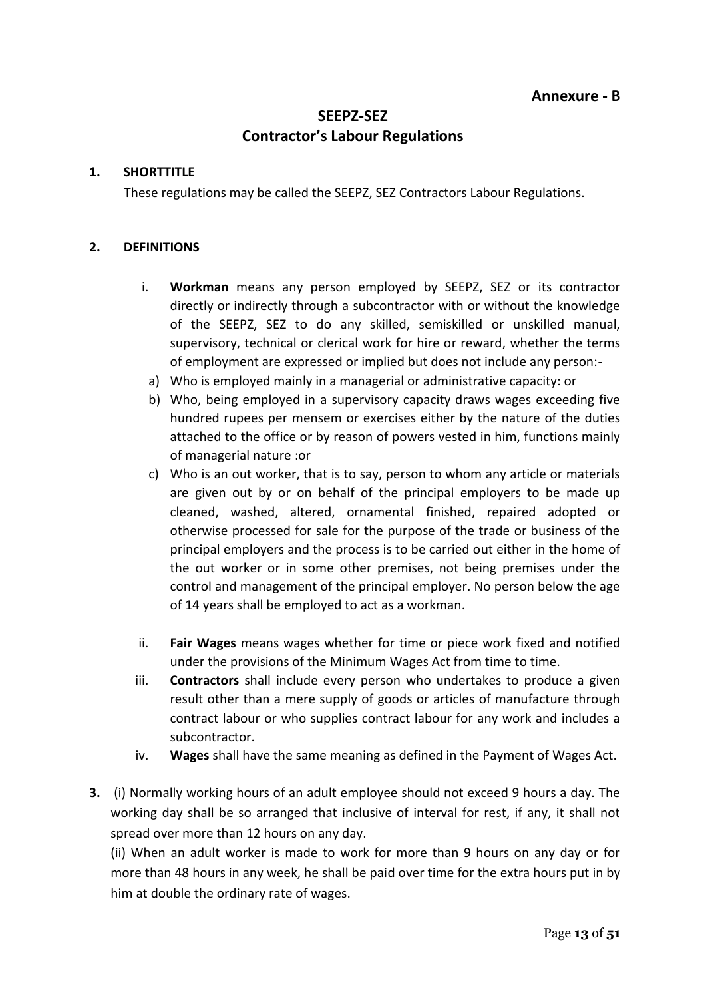# **SEEPZ-SEZ Contractor's Labour Regulations**

## **1. SHORTTITLE**

These regulations may be called the SEEPZ, SEZ Contractors Labour Regulations.

## **2. DEFINITIONS**

- i. **Workman** means any person employed by SEEPZ, SEZ or its contractor directly or indirectly through a subcontractor with or without the knowledge of the SEEPZ, SEZ to do any skilled, semiskilled or unskilled manual, supervisory, technical or clerical work for hire or reward, whether the terms of employment are expressed or implied but does not include any person:-
- a) Who is employed mainly in a managerial or administrative capacity: or
- b) Who, being employed in a supervisory capacity draws wages exceeding five hundred rupees per mensem or exercises either by the nature of the duties attached to the office or by reason of powers vested in him, functions mainly of managerial nature :or
- c) Who is an out worker, that is to say, person to whom any article or materials are given out by or on behalf of the principal employers to be made up cleaned, washed, altered, ornamental finished, repaired adopted or otherwise processed for sale for the purpose of the trade or business of the principal employers and the process is to be carried out either in the home of the out worker or in some other premises, not being premises under the control and management of the principal employer. No person below the age of 14 years shall be employed to act as a workman.
- ii. **Fair Wages** means wages whether for time or piece work fixed and notified under the provisions of the Minimum Wages Act from time to time.
- iii. **Contractors** shall include every person who undertakes to produce a given result other than a mere supply of goods or articles of manufacture through contract labour or who supplies contract labour for any work and includes a subcontractor.
- iv. **Wages** shall have the same meaning as defined in the Payment of Wages Act.
- **3.** (i) Normally working hours of an adult employee should not exceed 9 hours a day. The working day shall be so arranged that inclusive of interval for rest, if any, it shall not spread over more than 12 hours on any day.

(ii) When an adult worker is made to work for more than 9 hours on any day or for more than 48 hours in any week, he shall be paid over time for the extra hours put in by him at double the ordinary rate of wages.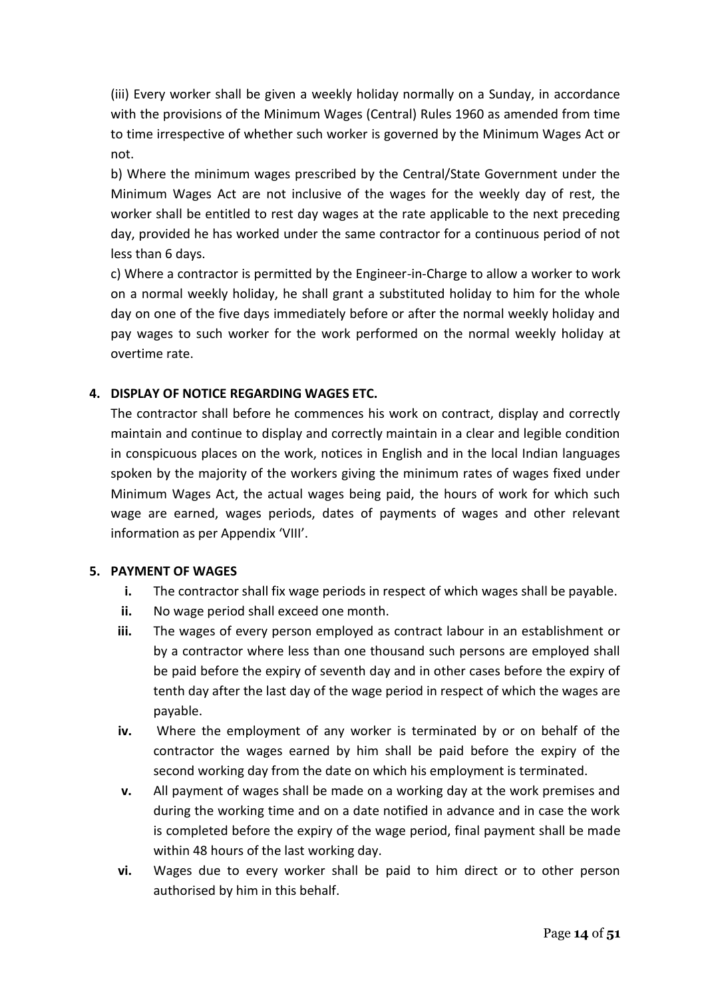(iii) Every worker shall be given a weekly holiday normally on a Sunday, in accordance with the provisions of the Minimum Wages (Central) Rules 1960 as amended from time to time irrespective of whether such worker is governed by the Minimum Wages Act or not.

b) Where the minimum wages prescribed by the Central/State Government under the Minimum Wages Act are not inclusive of the wages for the weekly day of rest, the worker shall be entitled to rest day wages at the rate applicable to the next preceding day, provided he has worked under the same contractor for a continuous period of not less than 6 days.

c) Where a contractor is permitted by the Engineer-in-Charge to allow a worker to work on a normal weekly holiday, he shall grant a substituted holiday to him for the whole day on one of the five days immediately before or after the normal weekly holiday and pay wages to such worker for the work performed on the normal weekly holiday at overtime rate.

# **4. DISPLAY OF NOTICE REGARDING WAGES ETC.**

The contractor shall before he commences his work on contract, display and correctly maintain and continue to display and correctly maintain in a clear and legible condition in conspicuous places on the work, notices in English and in the local Indian languages spoken by the majority of the workers giving the minimum rates of wages fixed under Minimum Wages Act, the actual wages being paid, the hours of work for which such wage are earned, wages periods, dates of payments of wages and other relevant information as per Appendix 'VIII'.

# **5. PAYMENT OF WAGES**

- **i.** The contractor shall fix wage periods in respect of which wages shall be payable.
- **ii.** No wage period shall exceed one month.
- **iii.** The wages of every person employed as contract labour in an establishment or by a contractor where less than one thousand such persons are employed shall be paid before the expiry of seventh day and in other cases before the expiry of tenth day after the last day of the wage period in respect of which the wages are payable.
- **iv.** Where the employment of any worker is terminated by or on behalf of the contractor the wages earned by him shall be paid before the expiry of the second working day from the date on which his employment is terminated.
- **v.** All payment of wages shall be made on a working day at the work premises and during the working time and on a date notified in advance and in case the work is completed before the expiry of the wage period, final payment shall be made within 48 hours of the last working day.
- **vi.** Wages due to every worker shall be paid to him direct or to other person authorised by him in this behalf.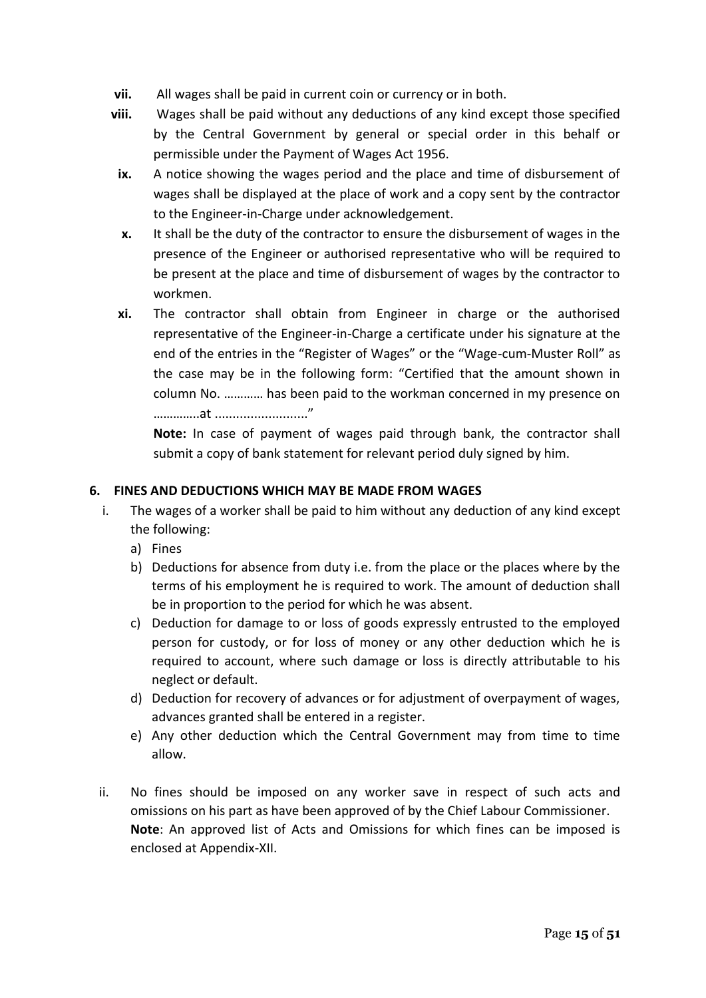- **vii.** All wages shall be paid in current coin or currency or in both.
- **viii.** Wages shall be paid without any deductions of any kind except those specified by the Central Government by general or special order in this behalf or permissible under the Payment of Wages Act 1956.
	- **ix.** A notice showing the wages period and the place and time of disbursement of wages shall be displayed at the place of work and a copy sent by the contractor to the Engineer-in-Charge under acknowledgement.
	- **x.** It shall be the duty of the contractor to ensure the disbursement of wages in the presence of the Engineer or authorised representative who will be required to be present at the place and time of disbursement of wages by the contractor to workmen.
	- **xi.** The contractor shall obtain from Engineer in charge or the authorised representative of the Engineer-in-Charge a certificate under his signature at the end of the entries in the "Register of Wages" or the "Wage-cum-Muster Roll" as the case may be in the following form: "Certified that the amount shown in column No. ………… has been paid to the workman concerned in my presence on …………..at .........................."

**Note:** In case of payment of wages paid through bank, the contractor shall submit a copy of bank statement for relevant period duly signed by him.

## **6. FINES AND DEDUCTIONS WHICH MAY BE MADE FROM WAGES**

- i. The wages of a worker shall be paid to him without any deduction of any kind except the following:
	- a) Fines
	- b) Deductions for absence from duty i.e. from the place or the places where by the terms of his employment he is required to work. The amount of deduction shall be in proportion to the period for which he was absent.
	- c) Deduction for damage to or loss of goods expressly entrusted to the employed person for custody, or for loss of money or any other deduction which he is required to account, where such damage or loss is directly attributable to his neglect or default.
	- d) Deduction for recovery of advances or for adjustment of overpayment of wages, advances granted shall be entered in a register.
	- e) Any other deduction which the Central Government may from time to time allow.
- ii. No fines should be imposed on any worker save in respect of such acts and omissions on his part as have been approved of by the Chief Labour Commissioner. **Note**: An approved list of Acts and Omissions for which fines can be imposed is enclosed at Appendix-XII.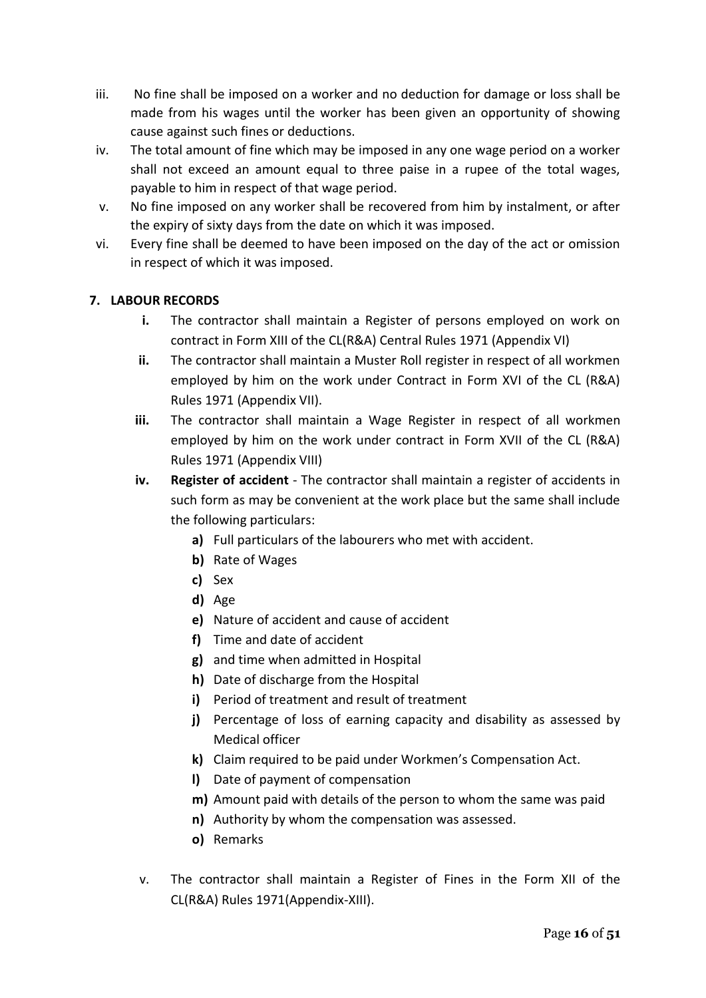- iii. No fine shall be imposed on a worker and no deduction for damage or loss shall be made from his wages until the worker has been given an opportunity of showing cause against such fines or deductions.
- iv. The total amount of fine which may be imposed in any one wage period on a worker shall not exceed an amount equal to three paise in a rupee of the total wages, payable to him in respect of that wage period.
- v. No fine imposed on any worker shall be recovered from him by instalment, or after the expiry of sixty days from the date on which it was imposed.
- vi. Every fine shall be deemed to have been imposed on the day of the act or omission in respect of which it was imposed.

# **7. LABOUR RECORDS**

- **i.** The contractor shall maintain a Register of persons employed on work on contract in Form XIII of the CL(R&A) Central Rules 1971 (Appendix VI)
- **ii.** The contractor shall maintain a Muster Roll register in respect of all workmen employed by him on the work under Contract in Form XVI of the CL (R&A) Rules 1971 (Appendix VII).
- **iii.** The contractor shall maintain a Wage Register in respect of all workmen employed by him on the work under contract in Form XVII of the CL (R&A) Rules 1971 (Appendix VIII)
- **iv. Register of accident** The contractor shall maintain a register of accidents in such form as may be convenient at the work place but the same shall include the following particulars:
	- **a)** Full particulars of the labourers who met with accident.
	- **b)** Rate of Wages
	- **c)** Sex
	- **d)** Age
	- **e)** Nature of accident and cause of accident
	- **f)** Time and date of accident
	- **g)** and time when admitted in Hospital
	- **h)** Date of discharge from the Hospital
	- **i)** Period of treatment and result of treatment
	- **j)** Percentage of loss of earning capacity and disability as assessed by Medical officer
	- **k)** Claim required to be paid under Workmen's Compensation Act.
	- **l)** Date of payment of compensation
	- **m)** Amount paid with details of the person to whom the same was paid
	- **n)** Authority by whom the compensation was assessed.
	- **o)** Remarks
- v. The contractor shall maintain a Register of Fines in the Form XII of the CL(R&A) Rules 1971(Appendix-XIII).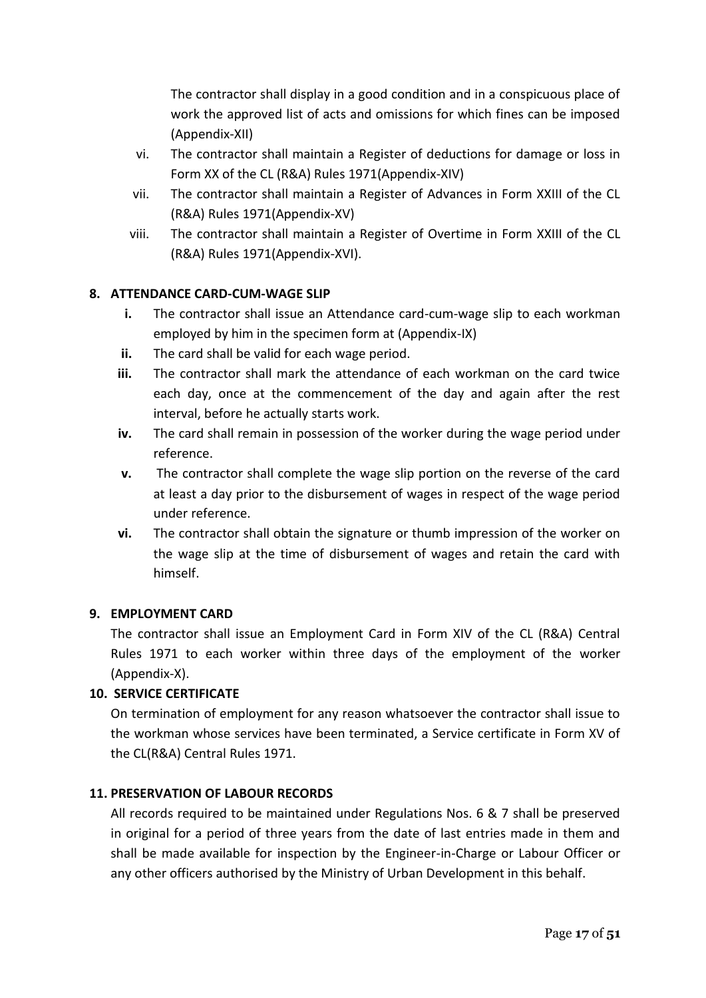The contractor shall display in a good condition and in a conspicuous place of work the approved list of acts and omissions for which fines can be imposed (Appendix-XII)

- vi. The contractor shall maintain a Register of deductions for damage or loss in Form XX of the CL (R&A) Rules 1971(Appendix-XIV)
- vii. The contractor shall maintain a Register of Advances in Form XXIII of the CL (R&A) Rules 1971(Appendix-XV)
- viii. The contractor shall maintain a Register of Overtime in Form XXIII of the CL (R&A) Rules 1971(Appendix-XVI).

# **8. ATTENDANCE CARD-CUM-WAGE SLIP**

- **i.** The contractor shall issue an Attendance card-cum-wage slip to each workman employed by him in the specimen form at (Appendix-IX)
- **ii.** The card shall be valid for each wage period.
- **iii.** The contractor shall mark the attendance of each workman on the card twice each day, once at the commencement of the day and again after the rest interval, before he actually starts work.
- **iv.** The card shall remain in possession of the worker during the wage period under reference.
- **v.** The contractor shall complete the wage slip portion on the reverse of the card at least a day prior to the disbursement of wages in respect of the wage period under reference.
- **vi.** The contractor shall obtain the signature or thumb impression of the worker on the wage slip at the time of disbursement of wages and retain the card with himself.

# **9. EMPLOYMENT CARD**

The contractor shall issue an Employment Card in Form XIV of the CL (R&A) Central Rules 1971 to each worker within three days of the employment of the worker (Appendix-X).

# **10. SERVICE CERTIFICATE**

On termination of employment for any reason whatsoever the contractor shall issue to the workman whose services have been terminated, a Service certificate in Form XV of the CL(R&A) Central Rules 1971.

# **11. PRESERVATION OF LABOUR RECORDS**

All records required to be maintained under Regulations Nos. 6 & 7 shall be preserved in original for a period of three years from the date of last entries made in them and shall be made available for inspection by the Engineer-in-Charge or Labour Officer or any other officers authorised by the Ministry of Urban Development in this behalf.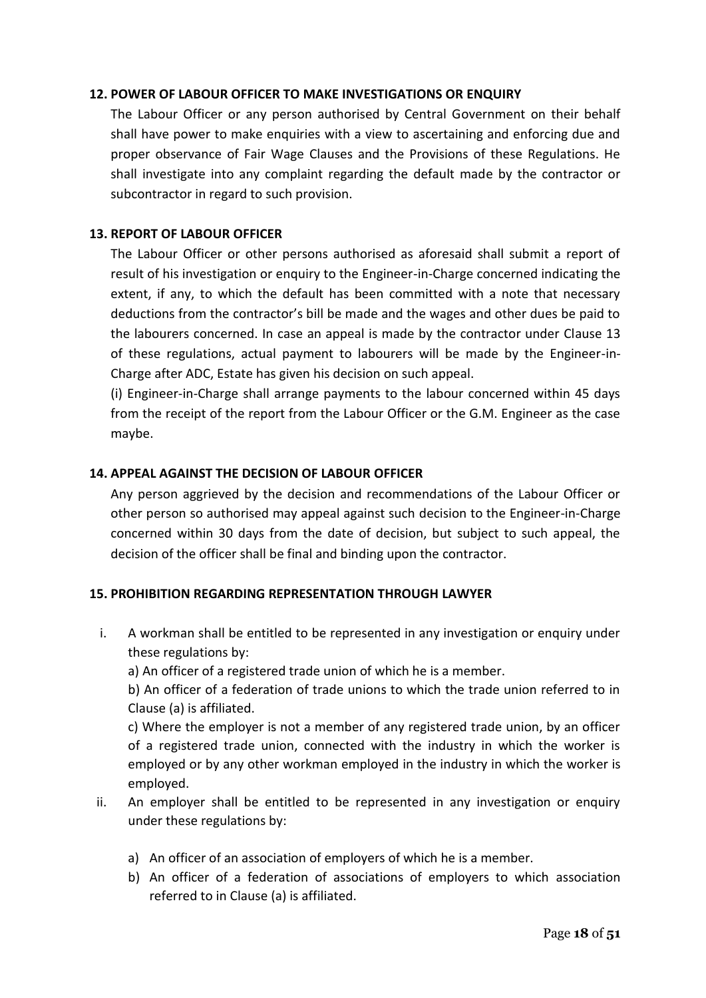#### **12. POWER OF LABOUR OFFICER TO MAKE INVESTIGATIONS OR ENQUIRY**

The Labour Officer or any person authorised by Central Government on their behalf shall have power to make enquiries with a view to ascertaining and enforcing due and proper observance of Fair Wage Clauses and the Provisions of these Regulations. He shall investigate into any complaint regarding the default made by the contractor or subcontractor in regard to such provision.

## **13. REPORT OF LABOUR OFFICER**

The Labour Officer or other persons authorised as aforesaid shall submit a report of result of his investigation or enquiry to the Engineer-in-Charge concerned indicating the extent, if any, to which the default has been committed with a note that necessary deductions from the contractor's bill be made and the wages and other dues be paid to the labourers concerned. In case an appeal is made by the contractor under Clause 13 of these regulations, actual payment to labourers will be made by the Engineer-in-Charge after ADC, Estate has given his decision on such appeal.

(i) Engineer-in-Charge shall arrange payments to the labour concerned within 45 days from the receipt of the report from the Labour Officer or the G.M. Engineer as the case maybe.

## **14. APPEAL AGAINST THE DECISION OF LABOUR OFFICER**

Any person aggrieved by the decision and recommendations of the Labour Officer or other person so authorised may appeal against such decision to the Engineer-in-Charge concerned within 30 days from the date of decision, but subject to such appeal, the decision of the officer shall be final and binding upon the contractor.

# **15. PROHIBITION REGARDING REPRESENTATION THROUGH LAWYER**

i. A workman shall be entitled to be represented in any investigation or enquiry under these regulations by:

a) An officer of a registered trade union of which he is a member.

b) An officer of a federation of trade unions to which the trade union referred to in Clause (a) is affiliated.

c) Where the employer is not a member of any registered trade union, by an officer of a registered trade union, connected with the industry in which the worker is employed or by any other workman employed in the industry in which the worker is employed.

- ii. An employer shall be entitled to be represented in any investigation or enquiry under these regulations by:
	- a) An officer of an association of employers of which he is a member.
	- b) An officer of a federation of associations of employers to which association referred to in Clause (a) is affiliated.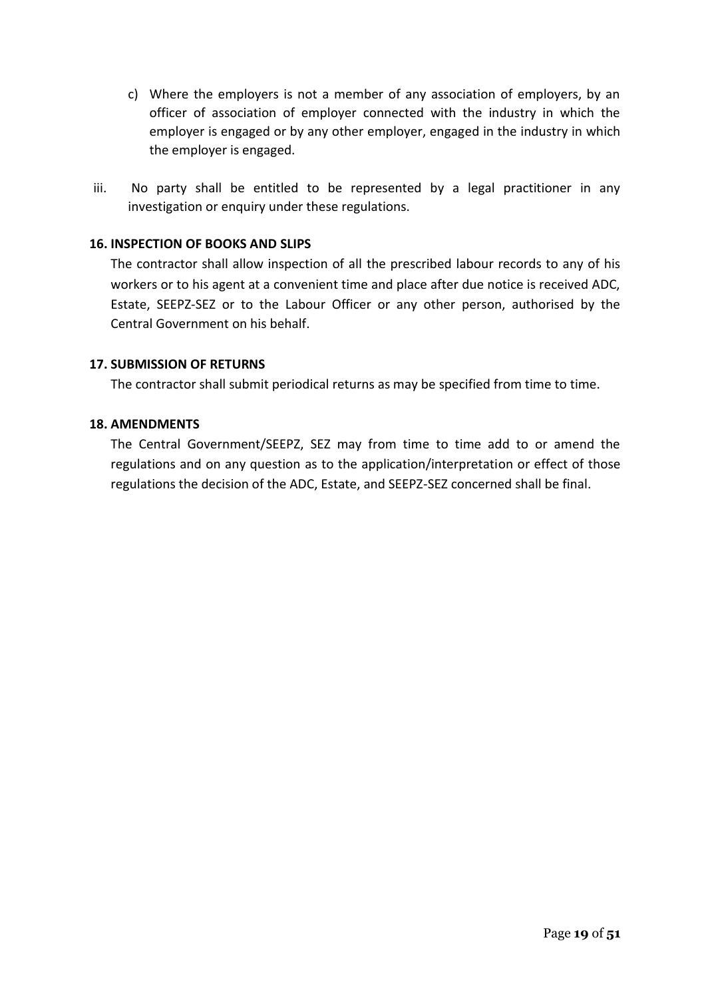- c) Where the employers is not a member of any association of employers, by an officer of association of employer connected with the industry in which the employer is engaged or by any other employer, engaged in the industry in which the employer is engaged.
- iii. No party shall be entitled to be represented by a legal practitioner in any investigation or enquiry under these regulations.

#### **16. INSPECTION OF BOOKS AND SLIPS**

The contractor shall allow inspection of all the prescribed labour records to any of his workers or to his agent at a convenient time and place after due notice is received ADC, Estate, SEEPZ-SEZ or to the Labour Officer or any other person, authorised by the Central Government on his behalf.

## **17. SUBMISSION OF RETURNS**

The contractor shall submit periodical returns as may be specified from time to time.

#### **18. AMENDMENTS**

The Central Government/SEEPZ, SEZ may from time to time add to or amend the regulations and on any question as to the application/interpretation or effect of those regulations the decision of the ADC, Estate, and SEEPZ-SEZ concerned shall be final.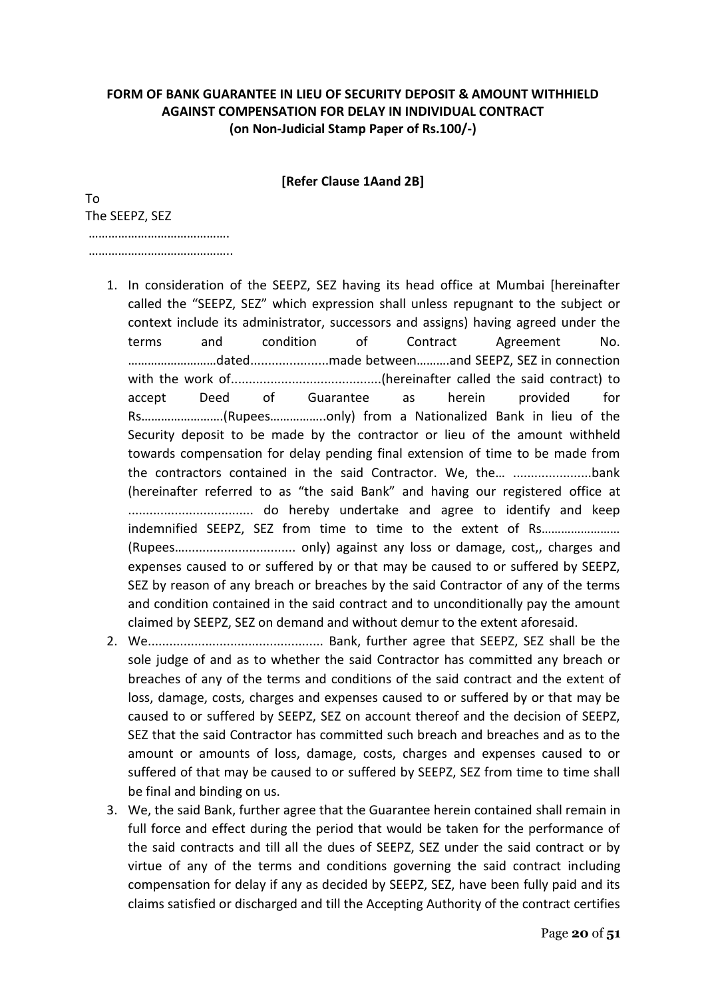# **FORM OF BANK GUARANTEE IN LIEU OF SECURITY DEPOSIT & AMOUNT WITHHIELD AGAINST COMPENSATION FOR DELAY IN INDIVIDUAL CONTRACT (on Non-Judicial Stamp Paper of Rs.100/-)**

**[Refer Clause 1Aand 2B]**

To The SEEPZ, SEZ

…………………………………… ………………………………………

- 1. In consideration of the SEEPZ, SEZ having its head office at Mumbai [hereinafter called the "SEEPZ, SEZ" which expression shall unless repugnant to the subject or context include its administrator, successors and assigns) having agreed under the terms and condition of Contract Agreement No. ………………………dated......................made between……….and SEEPZ, SEZ in connection with the work of..........................................(hereinafter called the said contract) to accept Deed of Guarantee as herein provided for Rs…………………….(Rupees……………..only) from a Nationalized Bank in lieu of the Security deposit to be made by the contractor or lieu of the amount withheld towards compensation for delay pending final extension of time to be made from the contractors contained in the said Contractor. We, the… ......................bank (hereinafter referred to as "the said Bank" and having our registered office at ................................... do hereby undertake and agree to identify and keep indemnified SEEPZ, SEZ from time to time to the extent of Rs…………………… (Rupees…............................... only) against any loss or damage, cost,, charges and expenses caused to or suffered by or that may be caused to or suffered by SEEPZ, SEZ by reason of any breach or breaches by the said Contractor of any of the terms and condition contained in the said contract and to unconditionally pay the amount claimed by SEEPZ, SEZ on demand and without demur to the extent aforesaid.
- 2. We................................................. Bank, further agree that SEEPZ, SEZ shall be the sole judge of and as to whether the said Contractor has committed any breach or breaches of any of the terms and conditions of the said contract and the extent of loss, damage, costs, charges and expenses caused to or suffered by or that may be caused to or suffered by SEEPZ, SEZ on account thereof and the decision of SEEPZ, SEZ that the said Contractor has committed such breach and breaches and as to the amount or amounts of loss, damage, costs, charges and expenses caused to or suffered of that may be caused to or suffered by SEEPZ, SEZ from time to time shall be final and binding on us.
- 3. We, the said Bank, further agree that the Guarantee herein contained shall remain in full force and effect during the period that would be taken for the performance of the said contracts and till all the dues of SEEPZ, SEZ under the said contract or by virtue of any of the terms and conditions governing the said contract including compensation for delay if any as decided by SEEPZ, SEZ, have been fully paid and its claims satisfied or discharged and till the Accepting Authority of the contract certifies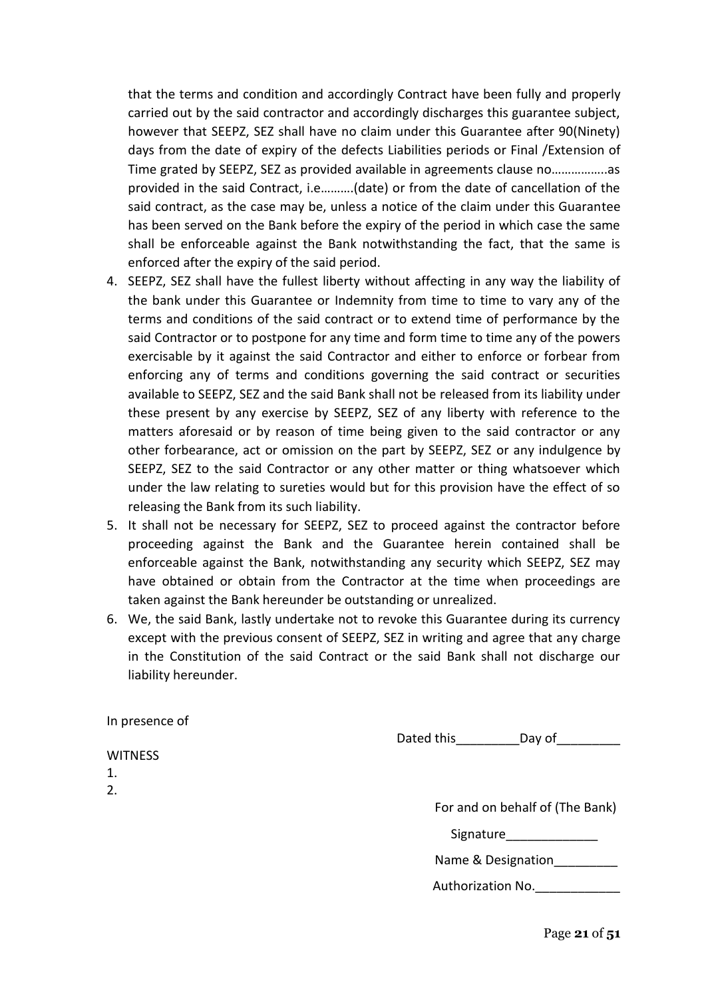that the terms and condition and accordingly Contract have been fully and properly carried out by the said contractor and accordingly discharges this guarantee subject, however that SEEPZ, SEZ shall have no claim under this Guarantee after 90(Ninety) days from the date of expiry of the defects Liabilities periods or Final /Extension of Time grated by SEEPZ, SEZ as provided available in agreements clause no……………..as provided in the said Contract, i.e……….(date) or from the date of cancellation of the said contract, as the case may be, unless a notice of the claim under this Guarantee has been served on the Bank before the expiry of the period in which case the same shall be enforceable against the Bank notwithstanding the fact, that the same is enforced after the expiry of the said period.

- 4. SEEPZ, SEZ shall have the fullest liberty without affecting in any way the liability of the bank under this Guarantee or Indemnity from time to time to vary any of the terms and conditions of the said contract or to extend time of performance by the said Contractor or to postpone for any time and form time to time any of the powers exercisable by it against the said Contractor and either to enforce or forbear from enforcing any of terms and conditions governing the said contract or securities available to SEEPZ, SEZ and the said Bank shall not be released from its liability under these present by any exercise by SEEPZ, SEZ of any liberty with reference to the matters aforesaid or by reason of time being given to the said contractor or any other forbearance, act or omission on the part by SEEPZ, SEZ or any indulgence by SEEPZ, SEZ to the said Contractor or any other matter or thing whatsoever which under the law relating to sureties would but for this provision have the effect of so releasing the Bank from its such liability.
- 5. It shall not be necessary for SEEPZ, SEZ to proceed against the contractor before proceeding against the Bank and the Guarantee herein contained shall be enforceable against the Bank, notwithstanding any security which SEEPZ, SEZ may have obtained or obtain from the Contractor at the time when proceedings are taken against the Bank hereunder be outstanding or unrealized.
- 6. We, the said Bank, lastly undertake not to revoke this Guarantee during its currency except with the previous consent of SEEPZ, SEZ in writing and agree that any charge in the Constitution of the said Contract or the said Bank shall not discharge our liability hereunder.

| In presence of |            |                                 |
|----------------|------------|---------------------------------|
|                | Dated this | Day of                          |
| <b>WITNESS</b> |            |                                 |
| 1.             |            |                                 |
| 2.             |            |                                 |
|                |            | For and on behalf of (The Bank) |
|                | Signature  |                                 |
|                |            | Name & Designation              |

Authorization No.

Page **21** of **51**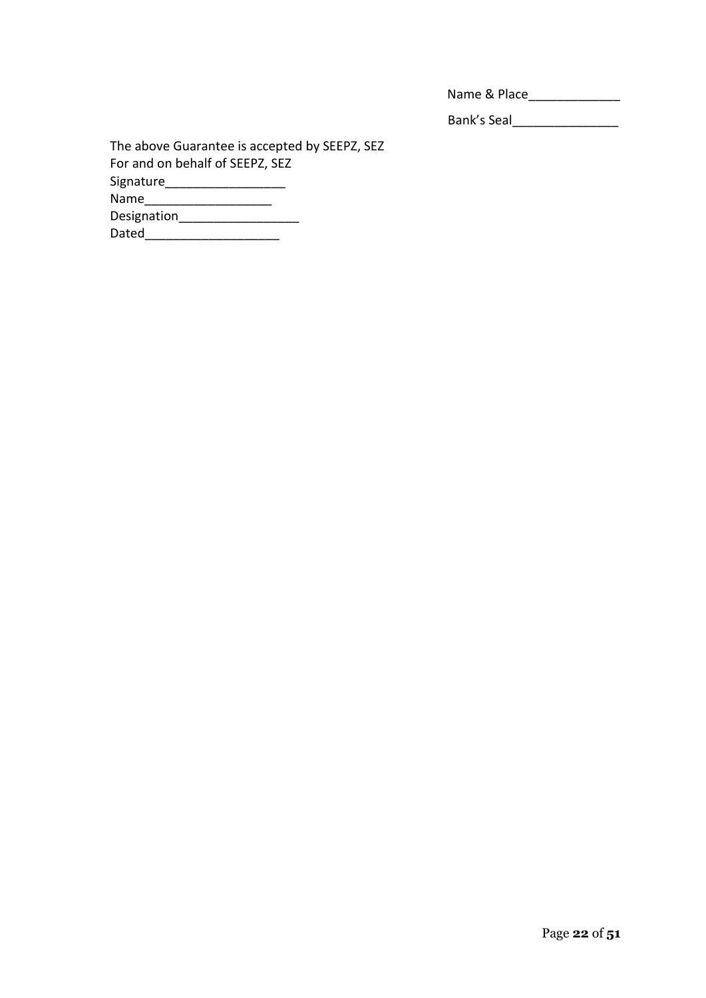| Name & Place |  |
|--------------|--|
|              |  |

Bank's Seal\_\_\_\_\_\_\_\_\_\_\_\_\_\_\_

The above Guarantee is accepted by SEEPZ, SEZ For and on behalf of SEEPZ, SEZ Signature\_\_\_\_\_\_\_\_\_\_\_\_\_\_\_\_\_ Name\_\_\_\_\_\_\_\_\_\_\_\_\_\_\_\_\_\_\_\_\_\_\_\_\_ Designation\_\_\_\_\_\_\_\_\_\_\_\_\_\_\_\_\_ Dated\_\_\_\_\_\_\_\_\_\_\_\_\_\_\_\_\_\_\_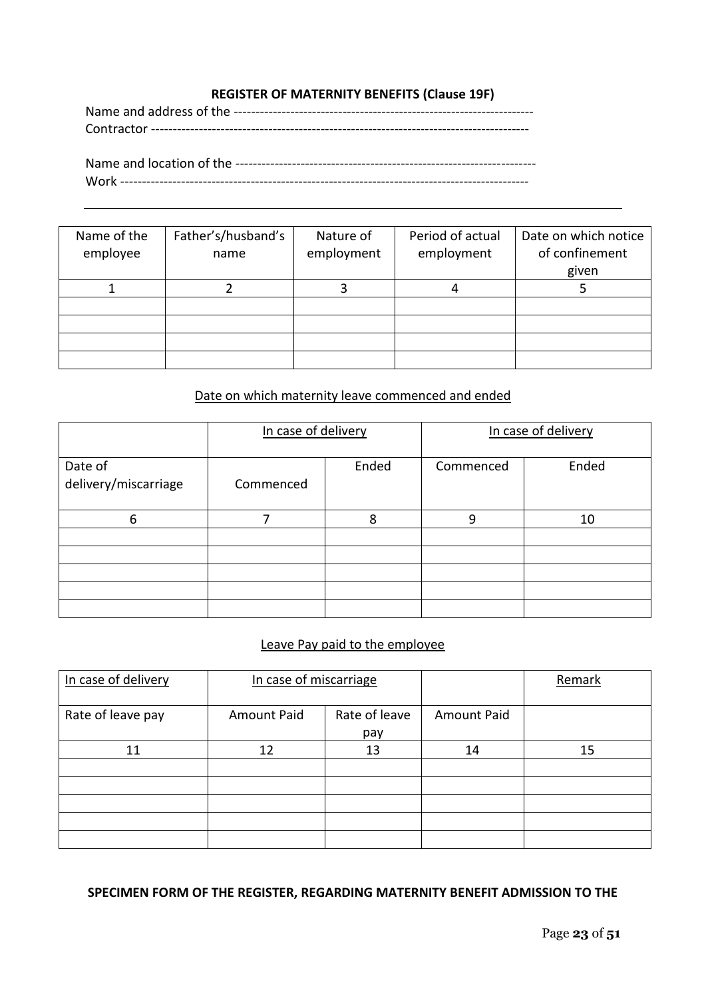# **REGISTER OF MATERNITY BENEFITS (Clause 19F)**

Name and location of the --------------------------------------------------------------------- Work ----------------------------------------------------------------------------------------------

| Name of the<br>employee | Father's/husband's<br>name | Nature of<br>employment | Period of actual<br>employment | Date on which notice<br>of confinement<br>given |
|-------------------------|----------------------------|-------------------------|--------------------------------|-------------------------------------------------|
|                         |                            |                         |                                |                                                 |
|                         |                            |                         |                                |                                                 |
|                         |                            |                         |                                |                                                 |
|                         |                            |                         |                                |                                                 |
|                         |                            |                         |                                |                                                 |

# Date on which maternity leave commenced and ended

|                                 | In case of delivery |   | In case of delivery |       |  |
|---------------------------------|---------------------|---|---------------------|-------|--|
| Date of<br>delivery/miscarriage | Ended<br>Commenced  |   | Commenced           | Ended |  |
| 6                               |                     | 8 | 9                   | 10    |  |
|                                 |                     |   |                     |       |  |
|                                 |                     |   |                     |       |  |
|                                 |                     |   |                     |       |  |

#### Leave Pay paid to the employee

| In case of delivery | In case of miscarriage                     |  |                    | Remark |
|---------------------|--------------------------------------------|--|--------------------|--------|
| Rate of leave pay   | Rate of leave<br><b>Amount Paid</b><br>pay |  | <b>Amount Paid</b> |        |
| 11                  | 13<br>12                                   |  | 14                 | 15     |
|                     |                                            |  |                    |        |
|                     |                                            |  |                    |        |
|                     |                                            |  |                    |        |
|                     |                                            |  |                    |        |
|                     |                                            |  |                    |        |

#### **SPECIMEN FORM OF THE REGISTER, REGARDING MATERNITY BENEFIT ADMISSION TO THE**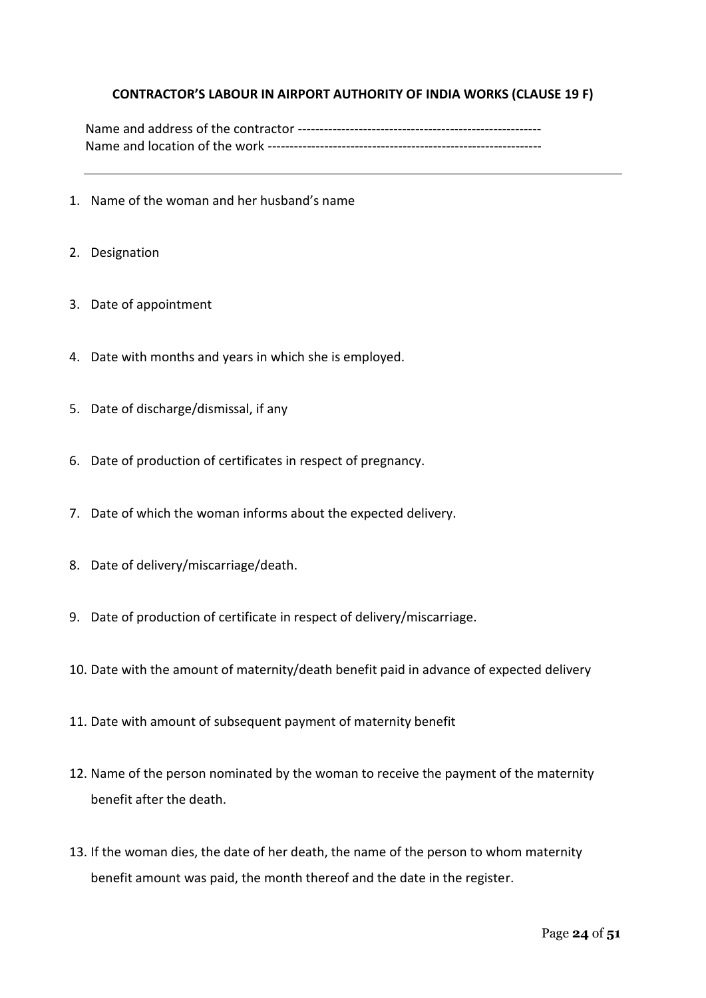## **CONTRACTOR'S LABOUR IN AIRPORT AUTHORITY OF INDIA WORKS (CLAUSE 19 F)**

- 1. Name of the woman and her husband's name
- 2. Designation
- 3. Date of appointment
- 4. Date with months and years in which she is employed.
- 5. Date of discharge/dismissal, if any
- 6. Date of production of certificates in respect of pregnancy.
- 7. Date of which the woman informs about the expected delivery.
- 8. Date of delivery/miscarriage/death.
- 9. Date of production of certificate in respect of delivery/miscarriage.
- 10. Date with the amount of maternity/death benefit paid in advance of expected delivery
- 11. Date with amount of subsequent payment of maternity benefit
- 12. Name of the person nominated by the woman to receive the payment of the maternity benefit after the death.
- 13. If the woman dies, the date of her death, the name of the person to whom maternity benefit amount was paid, the month thereof and the date in the register.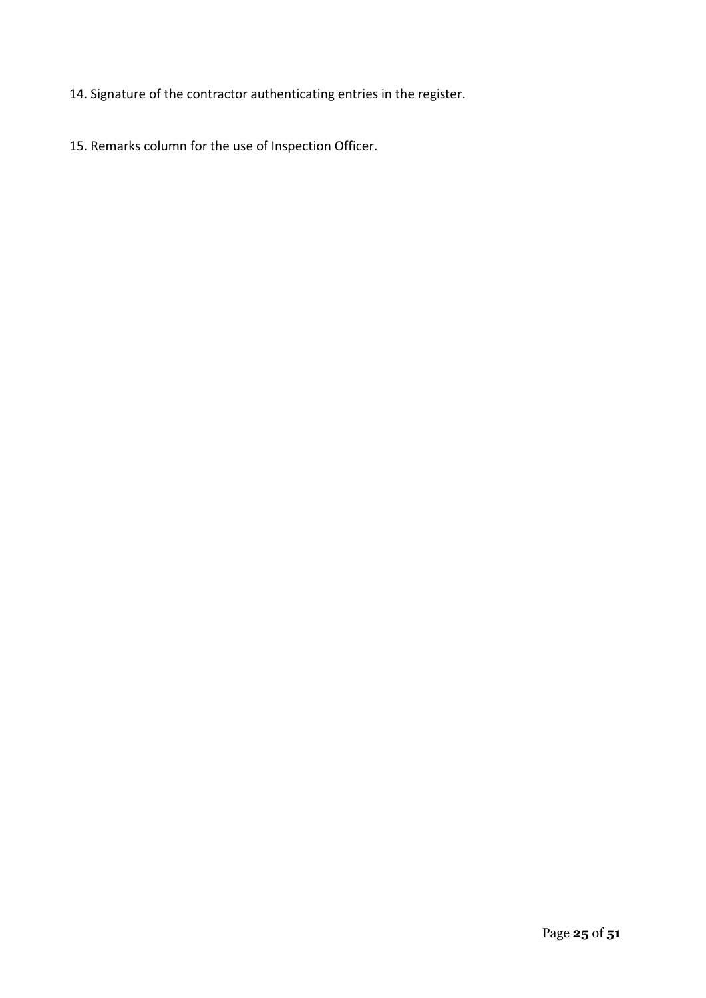- 14. Signature of the contractor authenticating entries in the register.
- 15. Remarks column for the use of Inspection Officer.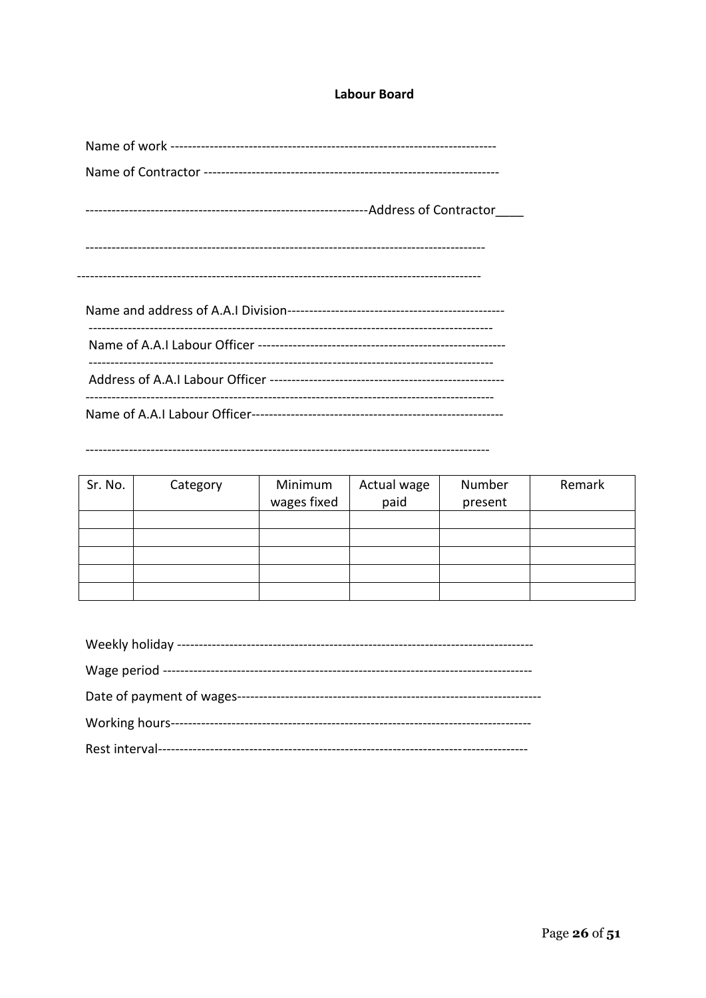#### **Labour Board**

| Sr. No. | Category | Minimum<br>wages fixed | Actual wage<br>paid | Number<br>present | Remark |
|---------|----------|------------------------|---------------------|-------------------|--------|
|         |          |                        |                     |                   |        |
|         |          |                        |                     |                   |        |
|         |          |                        |                     |                   |        |
|         |          |                        |                     |                   |        |
|         |          |                        |                     |                   |        |

| Date of payment of wages- |
|---------------------------|
|                           |
|                           |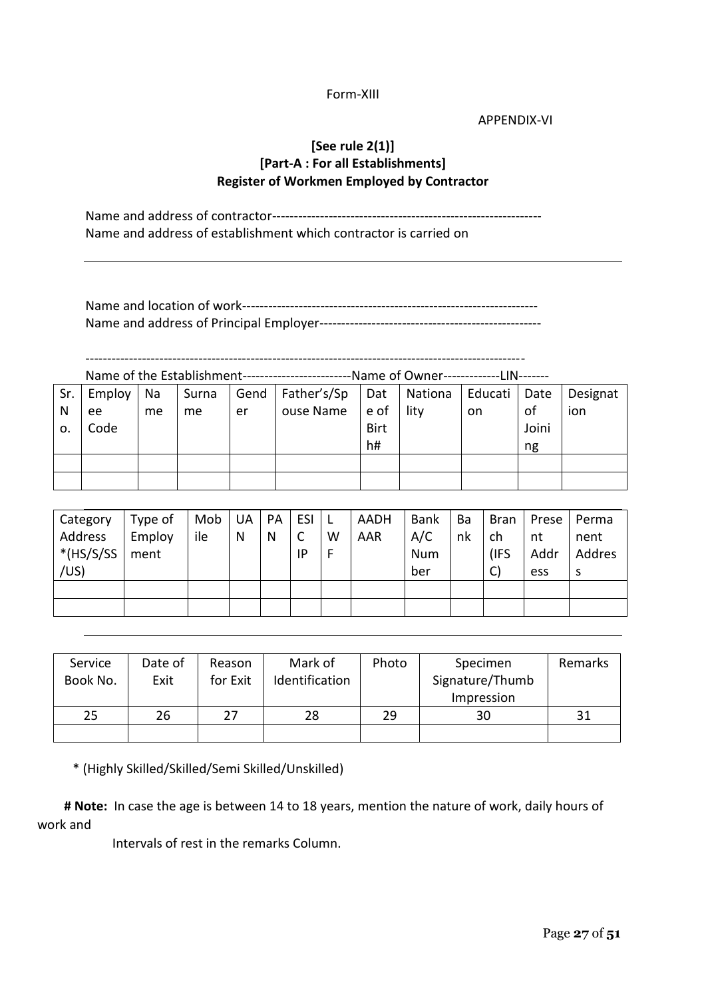#### Form-XIII

APPENDIX-VI

# **[See rule 2(1)] [Part-A : For all Establishments] Register of Workmen Employed by Contractor**

Name and address of contractor-------------------------------------------------------------- Name and address of establishment which contractor is carried on

-----------------------------------------------------------------------------------------------------

Name of the Establishment-------------------------Name of Owner-------------LIN-------

| Sr. | Employ   Na |    | Surna |    | Gend   Father's/Sp | Dat  | Nationa   Educati   Date |     |       | Designat |
|-----|-------------|----|-------|----|--------------------|------|--------------------------|-----|-------|----------|
| N   | ee          | me | me    | er | ouse Name          | e of | lity                     | on. | 0f    | ion      |
| о.  | Code        |    |       |    |                    | Birt |                          |     | Joini |          |
|     |             |    |       |    |                    | h#   |                          |     | ng    |          |
|     |             |    |       |    |                    |      |                          |     |       |          |
|     |             |    |       |    |                    |      |                          |     |       |          |

| Category     | Type of | Mob | UA | PA | ESI | $\perp$ | AADH | <b>Bank</b> | Ba | Bran         | Prese | Perma  |
|--------------|---------|-----|----|----|-----|---------|------|-------------|----|--------------|-------|--------|
| Address      | Employ  | ile | N  | N  | C   | W       | AAR  | A/C         | nk | ch           | nt    | nent   |
| $*(HS/S/SS)$ | ment    |     |    |    | IP  | F       |      | <b>Num</b>  |    | (IFS         | Addr  | Addres |
| /US)         |         |     |    |    |     |         |      | ber         |    | $\mathsf{C}$ | ess   | S      |
|              |         |     |    |    |     |         |      |             |    |              |       |        |
|              |         |     |    |    |     |         |      |             |    |              |       |        |

| Service<br>Book No. | Date of<br>Exit | Reason<br>for Exit | Mark of<br>Identification | Photo | Specimen<br>Signature/Thumb<br>Impression | Remarks |
|---------------------|-----------------|--------------------|---------------------------|-------|-------------------------------------------|---------|
| 25                  | 26              | 27                 | 28                        | 29    | 30                                        | 31      |
|                     |                 |                    |                           |       |                                           |         |

\* (Highly Skilled/Skilled/Semi Skilled/Unskilled)

**# Note:** In case the age is between 14 to 18 years, mention the nature of work, daily hours of work and

Intervals of rest in the remarks Column.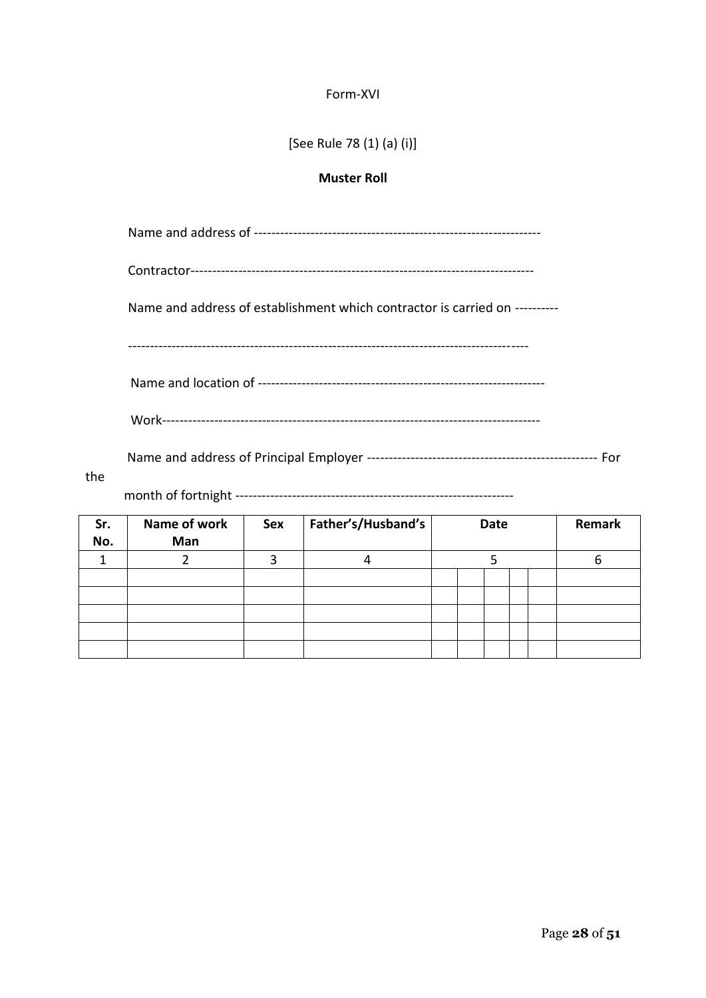#### Form-XVI

[See Rule 78 (1) (a) (i)]

## **Muster Roll**

Name and address of ------------------------------------------------------------------

Contractor-------------------------------------------------------------------------------

Name and address of establishment which contractor is carried on ----------

--------------------------------------------------------------------------------------------

Name and location of ------------------------------------------------------------------

Work---------------------------------------------------------------------------------------

Name and address of Principal Employer ----------------------------------------------------- For

the

month of fortnight ----------------------------------------------------------------

| Sr.<br>No. | Name of work<br>Man | Sex | Father's/Husband's |  | <b>Date</b> |  |  | Remark |  |
|------------|---------------------|-----|--------------------|--|-------------|--|--|--------|--|
|            |                     |     |                    |  |             |  |  |        |  |
|            |                     |     |                    |  |             |  |  |        |  |
|            |                     |     |                    |  |             |  |  |        |  |
|            |                     |     |                    |  |             |  |  |        |  |
|            |                     |     |                    |  |             |  |  |        |  |
|            |                     |     |                    |  |             |  |  |        |  |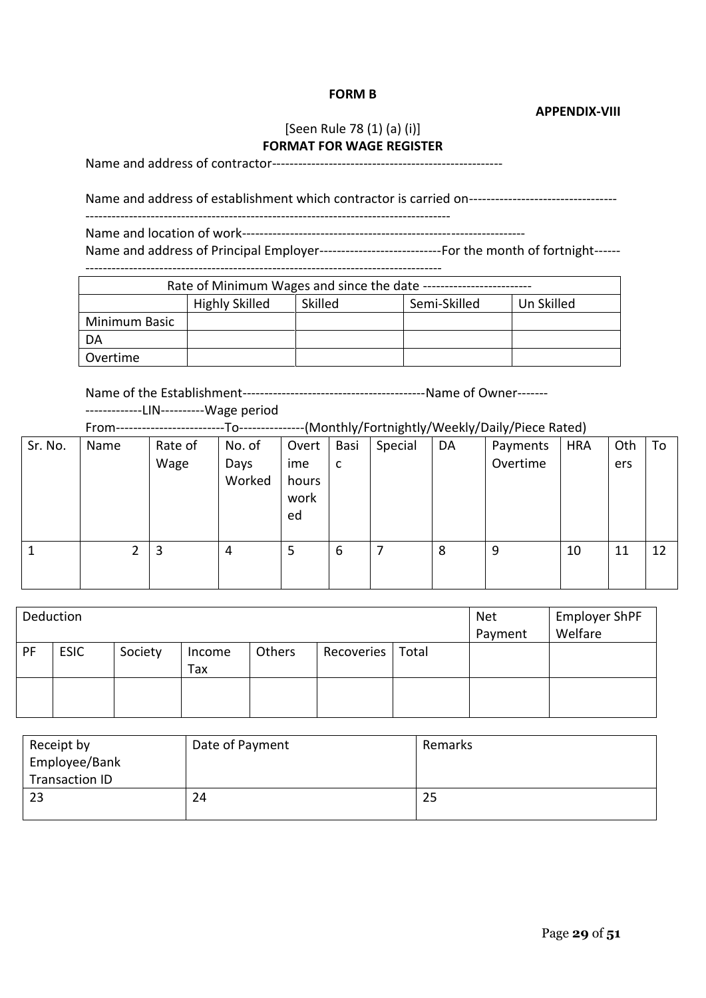#### **FORM B**

**APPENDIX-VIII**

 $\overline{\phantom{0}}$ 

## [Seen Rule 78 (1) (a) (i)] **FORMAT FOR WAGE REGISTER**

Name and address of contractor-----------------------------------------------------

Name and address of establishment which contractor is carried on-----------------------------------

------------------------------------------------------------------------------------

Name and location of work-----------------------------------------------------------------

Name and address of Principal Employer----------------------------For the month of fortnight------

----------------------------------------------------------------------------------  $R_{\text{at}}$  and since the date of  $M_{\text{in}}$  and  $M_{\text{in}}$ 

| Rate of Minimum wages and since the date - |                       |         |              |            |  |  |  |
|--------------------------------------------|-----------------------|---------|--------------|------------|--|--|--|
|                                            | <b>Highly Skilled</b> | Skilled | Semi-Skilled | Un Skilled |  |  |  |
| Minimum Basic                              |                       |         |              |            |  |  |  |
| DA                                         |                       |         |              |            |  |  |  |
| Overtime                                   |                       |         |              |            |  |  |  |

Name of the Establishment------------------------------------------Name of Owner-------

#### -------------LIN----------Wage period

From-------------------------To---------------(Monthly/Fortnightly/Weekly/Daily/Piece Rated)

| Sr. No. | Name | Rate of<br>Wage | No. of<br>Days<br>Worked | Overt<br>ime<br>hours<br>work<br>ed | Basi<br>C | Special | DA | Payments<br>Overtime | <b>HRA</b> | Oth<br>ers | To |
|---------|------|-----------------|--------------------------|-------------------------------------|-----------|---------|----|----------------------|------------|------------|----|
| ┸       | ำ    | 3               | 4                        | 5                                   | 6         | 7       | 8  | 9                    | 10         | 11         | 12 |

| Deduction |             |         |               |        |            |       | <b>Net</b><br>Payment | <b>Employer ShPF</b><br>Welfare |
|-----------|-------------|---------|---------------|--------|------------|-------|-----------------------|---------------------------------|
| PF        | <b>ESIC</b> | Society | Income<br>Tax | Others | Recoveries | Total |                       |                                 |
|           |             |         |               |        |            |       |                       |                                 |

| Receipt by<br>Employee/Bank<br>Transaction ID | Date of Payment | Remarks |
|-----------------------------------------------|-----------------|---------|
| 23                                            | 24              | 25      |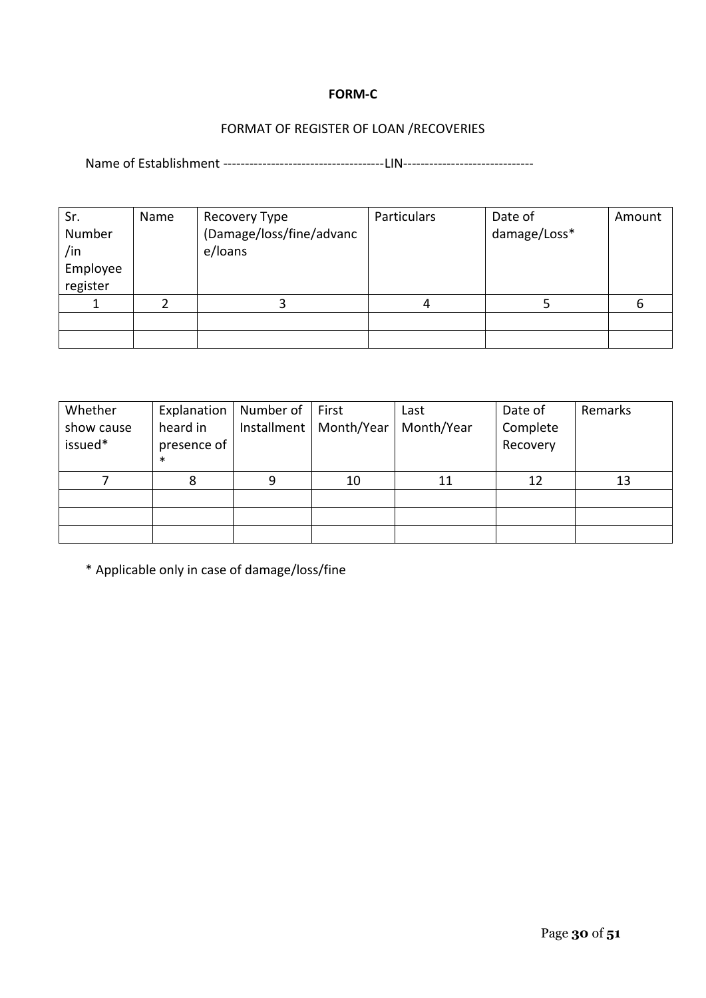## **FORM-C**

# FORMAT OF REGISTER OF LOAN /RECOVERIES

Name of Establishment -------------------------------------LIN------------------------------

| Sr.<br>Number<br>/in<br>Employee<br>register | Name | Recovery Type<br>(Damage/loss/fine/advanc<br>e/loans | Particulars | Date of<br>damage/Loss* | Amount |
|----------------------------------------------|------|------------------------------------------------------|-------------|-------------------------|--------|
|                                              |      |                                                      | 4           |                         | 6      |
|                                              |      |                                                      |             |                         |        |
|                                              |      |                                                      |             |                         |        |

| Whether<br>show cause<br>issued* | Explanation<br>heard in<br>presence of<br>∗ | Number of<br>Installment | First<br>Month/Year | Last<br>Month/Year | Date of<br>Complete<br>Recovery | Remarks |
|----------------------------------|---------------------------------------------|--------------------------|---------------------|--------------------|---------------------------------|---------|
|                                  | 8                                           | 9                        | 10                  |                    | 12                              | 13      |
|                                  |                                             |                          |                     |                    |                                 |         |
|                                  |                                             |                          |                     |                    |                                 |         |
|                                  |                                             |                          |                     |                    |                                 |         |

\* Applicable only in case of damage/loss/fine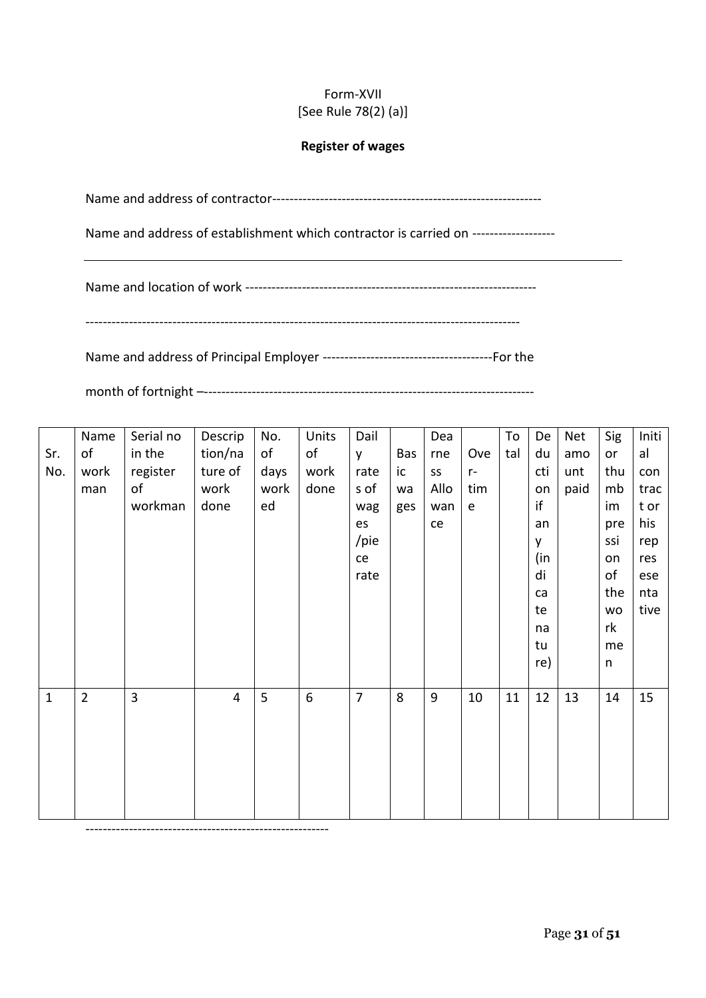# Form-XVII [See Rule 78(2) (a)]

#### **Register of wages**

Name and address of contractor--------------------------------------------------------------

Name and address of establishment which contractor is carried on -------------------

Name and location of work -------------------------------------------------------------------

----------------------------------------------------------------------------------------------------

Name and address of Principal Employer ---------------------------------------For the

month of fortnight –----------------------------------------------------------------------------

|              | Name           | Serial no | Descrip        | No.  | Units | Dail           |     | Dea  |                                            | To  | De  | Net  | Sig     | Initi |
|--------------|----------------|-----------|----------------|------|-------|----------------|-----|------|--------------------------------------------|-----|-----|------|---------|-------|
| Sr.          | of             | in the    | tion/na        | of   | of    | <b>y</b>       | Bas | rne  | Ove                                        | tal | du  | amo  | or      | al    |
| No.          | work           | register  | ture of        | days | work  | rate           | ic  | SS   | $r-$                                       |     | cti | unt  | thu     | con   |
|              | man            | of        | work           | work | done  | s of           | wa  | Allo | tim                                        |     | on  | paid | mb      | trac  |
|              |                | workman   | done           | ed   |       | wag            | ges | wan  | $\mathsf{e}% _{t}\left( \mathsf{e}\right)$ |     | if  |      | im      | t or  |
|              |                |           |                |      |       | es             |     | ce   |                                            |     | an  |      | pre     | his   |
|              |                |           |                |      |       | /pie           |     |      |                                            |     | y   |      | ssi     | rep   |
|              |                |           |                |      |       | ce             |     |      |                                            |     | (in |      | on      | res   |
|              |                |           |                |      |       | rate           |     |      |                                            |     | di  |      | of      | ese   |
|              |                |           |                |      |       |                |     |      |                                            |     | ca  |      | the     | nta   |
|              |                |           |                |      |       |                |     |      |                                            |     | te  |      | wo      | tive  |
|              |                |           |                |      |       |                |     |      |                                            |     | na  |      | rk      |       |
|              |                |           |                |      |       |                |     |      |                                            |     | tu  |      | me      |       |
|              |                |           |                |      |       |                |     |      |                                            |     | re) |      | $\sf n$ |       |
|              |                |           |                |      |       |                |     |      |                                            |     |     |      |         |       |
| $\mathbf{1}$ | $\overline{2}$ | 3         | $\overline{4}$ | 5    | 6     | $\overline{7}$ | 8   | 9    | 10                                         | 11  | 12  | 13   | 14      | 15    |
|              |                |           |                |      |       |                |     |      |                                            |     |     |      |         |       |
|              |                |           |                |      |       |                |     |      |                                            |     |     |      |         |       |
|              |                |           |                |      |       |                |     |      |                                            |     |     |      |         |       |
|              |                |           |                |      |       |                |     |      |                                            |     |     |      |         |       |
|              |                |           |                |      |       |                |     |      |                                            |     |     |      |         |       |
|              |                |           |                |      |       |                |     |      |                                            |     |     |      |         |       |

--------------------------------------------------------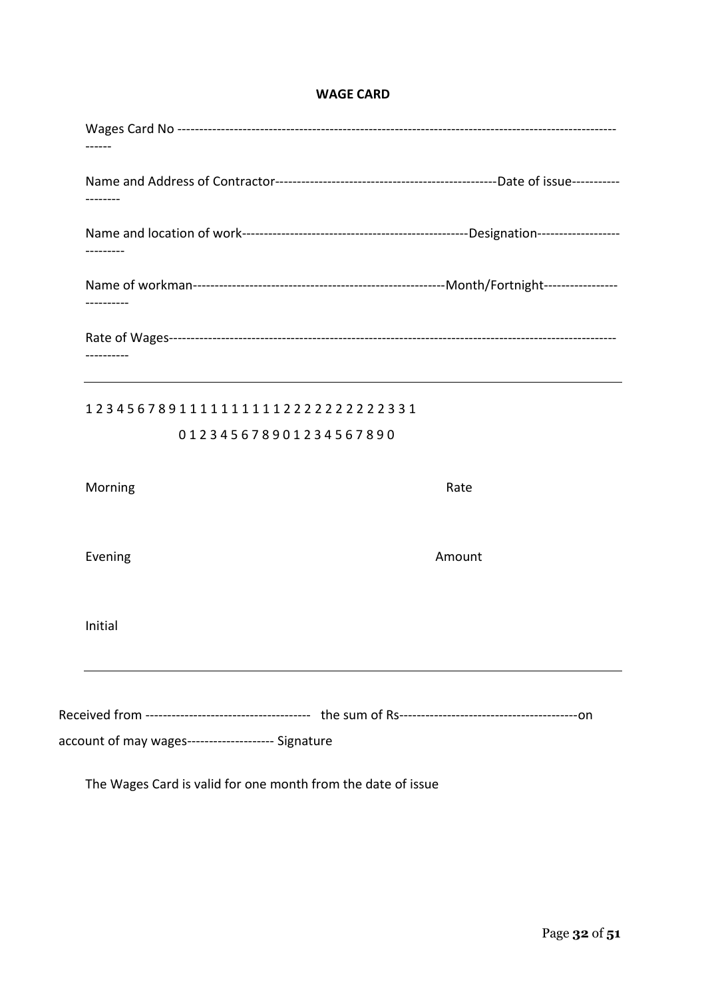#### **WAGE CARD**

| --------                                           |        |
|----------------------------------------------------|--------|
| -----------                                        |        |
| ---------                                          |        |
| 12345678911111111112222222222331                   |        |
| 012345678901234567890                              |        |
| Morning                                            | Rate   |
| Evening                                            | Amount |
| Initial                                            |        |
|                                                    |        |
| account of may wages-------------------- Signature |        |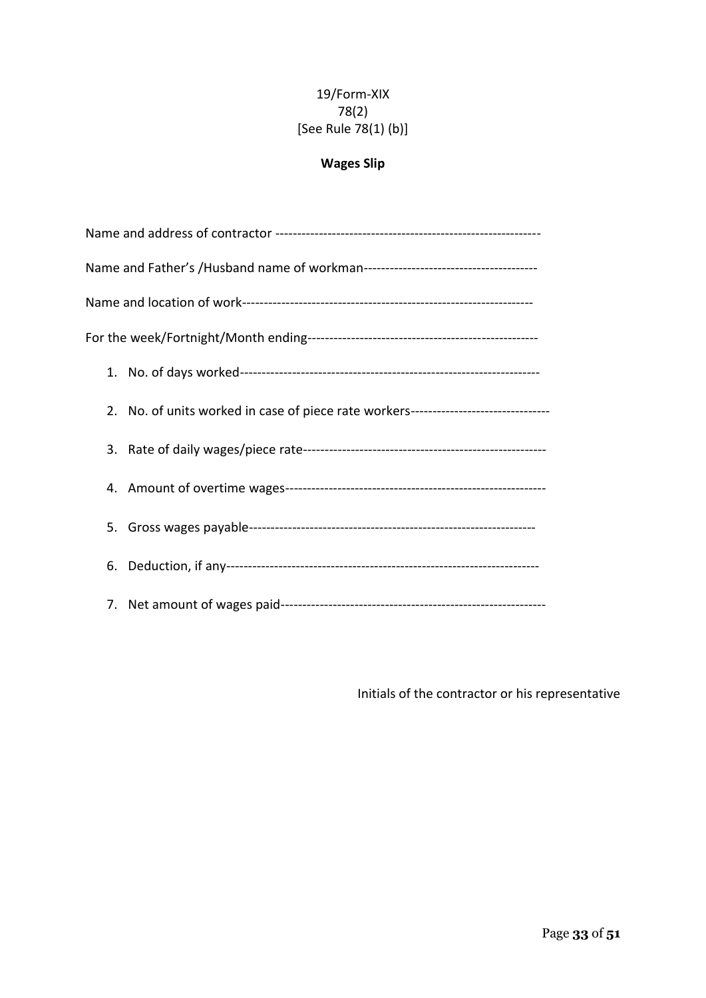# 19/Form-XIX 78(2) [See Rule 78(1) (b)]

# **Wages Slip**

| 2. No. of units worked in case of piece rate workers----------------------------- |  |  |  |  |  |  |  |  |
|-----------------------------------------------------------------------------------|--|--|--|--|--|--|--|--|
|                                                                                   |  |  |  |  |  |  |  |  |
|                                                                                   |  |  |  |  |  |  |  |  |
|                                                                                   |  |  |  |  |  |  |  |  |
|                                                                                   |  |  |  |  |  |  |  |  |
|                                                                                   |  |  |  |  |  |  |  |  |

Initials of the contractor or his representative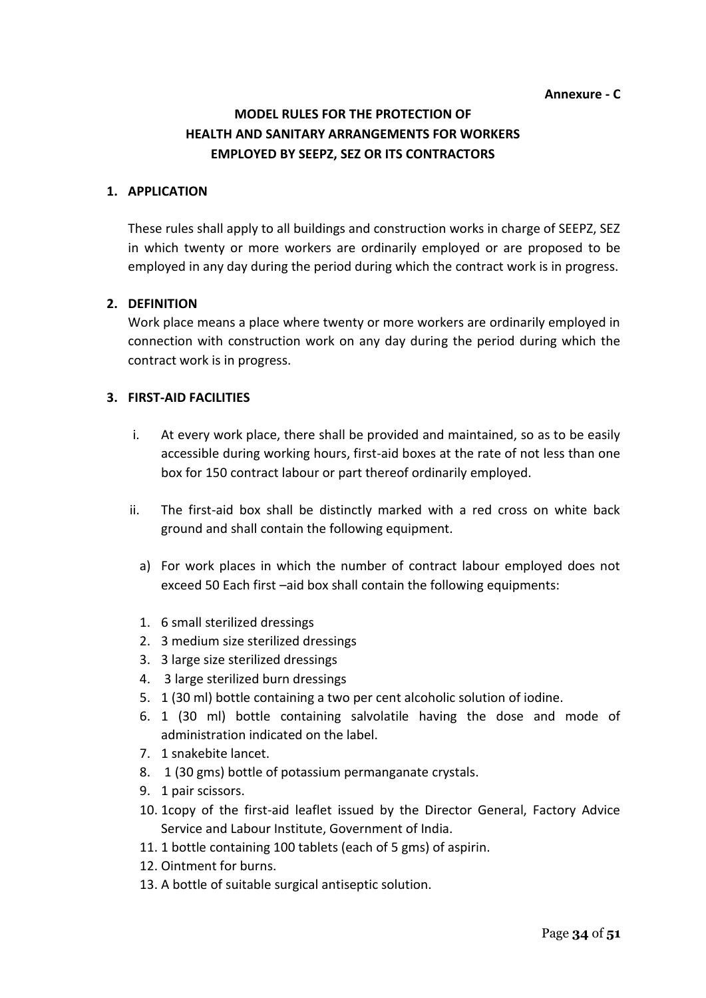#### **Annexure - C**

# **MODEL RULES FOR THE PROTECTION OF HEALTH AND SANITARY ARRANGEMENTS FOR WORKERS EMPLOYED BY SEEPZ, SEZ OR ITS CONTRACTORS**

#### **1. APPLICATION**

These rules shall apply to all buildings and construction works in charge of SEEPZ, SEZ in which twenty or more workers are ordinarily employed or are proposed to be employed in any day during the period during which the contract work is in progress.

#### **2. DEFINITION**

Work place means a place where twenty or more workers are ordinarily employed in connection with construction work on any day during the period during which the contract work is in progress.

## **3. FIRST-AID FACILITIES**

- i. At every work place, there shall be provided and maintained, so as to be easily accessible during working hours, first-aid boxes at the rate of not less than one box for 150 contract labour or part thereof ordinarily employed.
- ii. The first-aid box shall be distinctly marked with a red cross on white back ground and shall contain the following equipment.
	- a) For work places in which the number of contract labour employed does not exceed 50 Each first –aid box shall contain the following equipments:
	- 1. 6 small sterilized dressings
	- 2. 3 medium size sterilized dressings
	- 3. 3 large size sterilized dressings
	- 4. 3 large sterilized burn dressings
	- 5. 1 (30 ml) bottle containing a two per cent alcoholic solution of iodine.
	- 6. 1 (30 ml) bottle containing salvolatile having the dose and mode of administration indicated on the label.
	- 7. 1 snakebite lancet.
	- 8. 1 (30 gms) bottle of potassium permanganate crystals.
	- 9. 1 pair scissors.
	- 10. 1copy of the first-aid leaflet issued by the Director General, Factory Advice Service and Labour Institute, Government of India.
	- 11. 1 bottle containing 100 tablets (each of 5 gms) of aspirin.
	- 12. Ointment for burns.
	- 13. A bottle of suitable surgical antiseptic solution.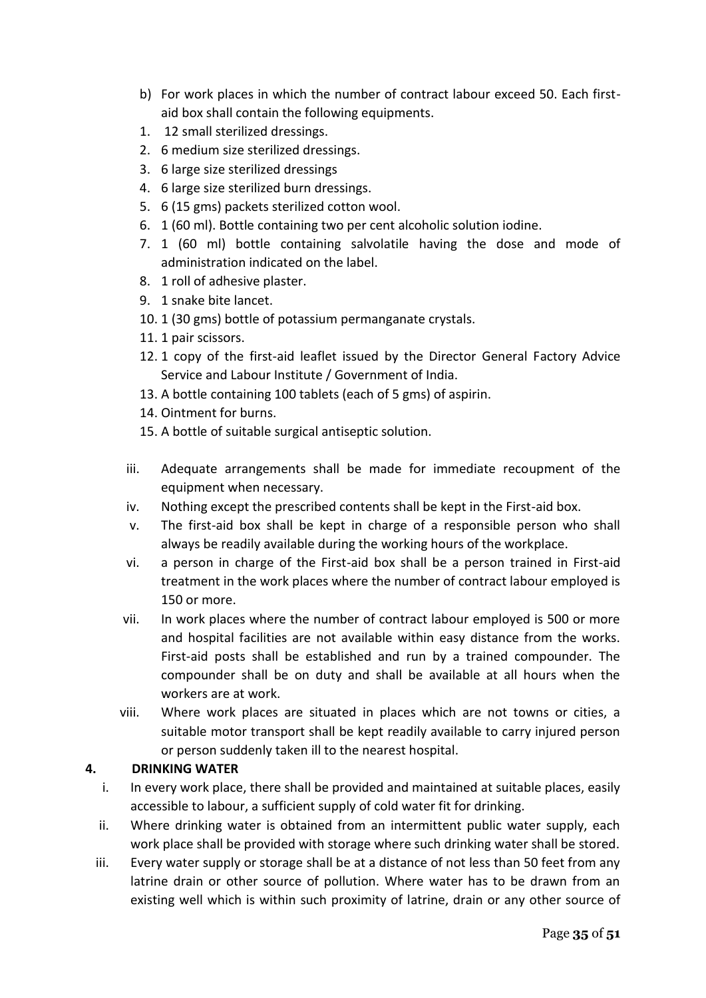- b) For work places in which the number of contract labour exceed 50. Each firstaid box shall contain the following equipments.
- 1. 12 small sterilized dressings.
- 2. 6 medium size sterilized dressings.
- 3. 6 large size sterilized dressings
- 4. 6 large size sterilized burn dressings.
- 5. 6 (15 gms) packets sterilized cotton wool.
- 6. 1 (60 ml). Bottle containing two per cent alcoholic solution iodine.
- 7. 1 (60 ml) bottle containing salvolatile having the dose and mode of administration indicated on the label.
- 8. 1 roll of adhesive plaster.
- 9. 1 snake bite lancet.
- 10. 1 (30 gms) bottle of potassium permanganate crystals.
- 11. 1 pair scissors.
- 12. 1 copy of the first-aid leaflet issued by the Director General Factory Advice Service and Labour Institute / Government of India.
- 13. A bottle containing 100 tablets (each of 5 gms) of aspirin.
- 14. Ointment for burns.
- 15. A bottle of suitable surgical antiseptic solution.
- iii. Adequate arrangements shall be made for immediate recoupment of the equipment when necessary.
- iv. Nothing except the prescribed contents shall be kept in the First-aid box.
- v. The first-aid box shall be kept in charge of a responsible person who shall always be readily available during the working hours of the workplace.
- vi. a person in charge of the First-aid box shall be a person trained in First-aid treatment in the work places where the number of contract labour employed is 150 or more.
- vii. In work places where the number of contract labour employed is 500 or more and hospital facilities are not available within easy distance from the works. First-aid posts shall be established and run by a trained compounder. The compounder shall be on duty and shall be available at all hours when the workers are at work.
- viii. Where work places are situated in places which are not towns or cities, a suitable motor transport shall be kept readily available to carry injured person or person suddenly taken ill to the nearest hospital.

# **4. DRINKING WATER**

- i. In every work place, there shall be provided and maintained at suitable places, easily accessible to labour, a sufficient supply of cold water fit for drinking.
- ii. Where drinking water is obtained from an intermittent public water supply, each work place shall be provided with storage where such drinking water shall be stored.
- iii. Every water supply or storage shall be at a distance of not less than 50 feet from any latrine drain or other source of pollution. Where water has to be drawn from an existing well which is within such proximity of latrine, drain or any other source of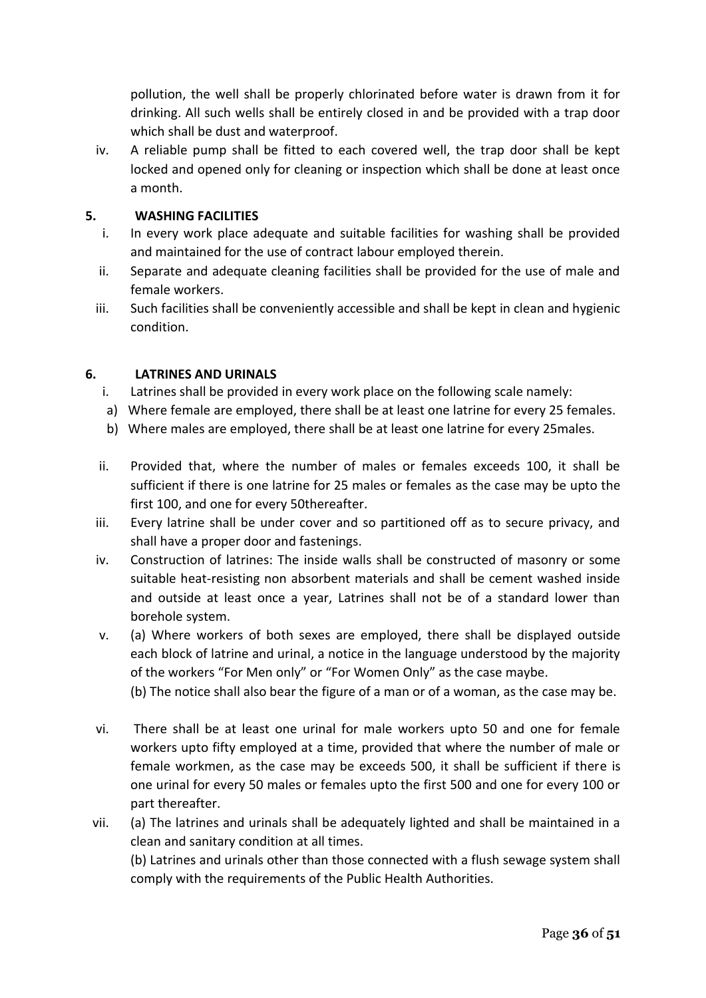pollution, the well shall be properly chlorinated before water is drawn from it for drinking. All such wells shall be entirely closed in and be provided with a trap door which shall be dust and waterproof.

iv. A reliable pump shall be fitted to each covered well, the trap door shall be kept locked and opened only for cleaning or inspection which shall be done at least once a month.

## **5. WASHING FACILITIES**

- i. In every work place adequate and suitable facilities for washing shall be provided and maintained for the use of contract labour employed therein.
- ii. Separate and adequate cleaning facilities shall be provided for the use of male and female workers.
- iii. Such facilities shall be conveniently accessible and shall be kept in clean and hygienic condition.

## **6. LATRINES AND URINALS**

- i. Latrines shall be provided in every work place on the following scale namely:
- a) Where female are employed, there shall be at least one latrine for every 25 females.
- b) Where males are employed, there shall be at least one latrine for every 25males.
- ii. Provided that, where the number of males or females exceeds 100, it shall be sufficient if there is one latrine for 25 males or females as the case may be upto the first 100, and one for every 50thereafter.
- iii. Every latrine shall be under cover and so partitioned off as to secure privacy, and shall have a proper door and fastenings.
- iv. Construction of latrines: The inside walls shall be constructed of masonry or some suitable heat-resisting non absorbent materials and shall be cement washed inside and outside at least once a year, Latrines shall not be of a standard lower than borehole system.
- v. (a) Where workers of both sexes are employed, there shall be displayed outside each block of latrine and urinal, a notice in the language understood by the majority of the workers "For Men only" or "For Women Only" as the case maybe.

(b) The notice shall also bear the figure of a man or of a woman, as the case may be.

- vi. There shall be at least one urinal for male workers upto 50 and one for female workers upto fifty employed at a time, provided that where the number of male or female workmen, as the case may be exceeds 500, it shall be sufficient if there is one urinal for every 50 males or females upto the first 500 and one for every 100 or part thereafter.
- vii. (a) The latrines and urinals shall be adequately lighted and shall be maintained in a clean and sanitary condition at all times. (b) Latrines and urinals other than those connected with a flush sewage system shall

comply with the requirements of the Public Health Authorities.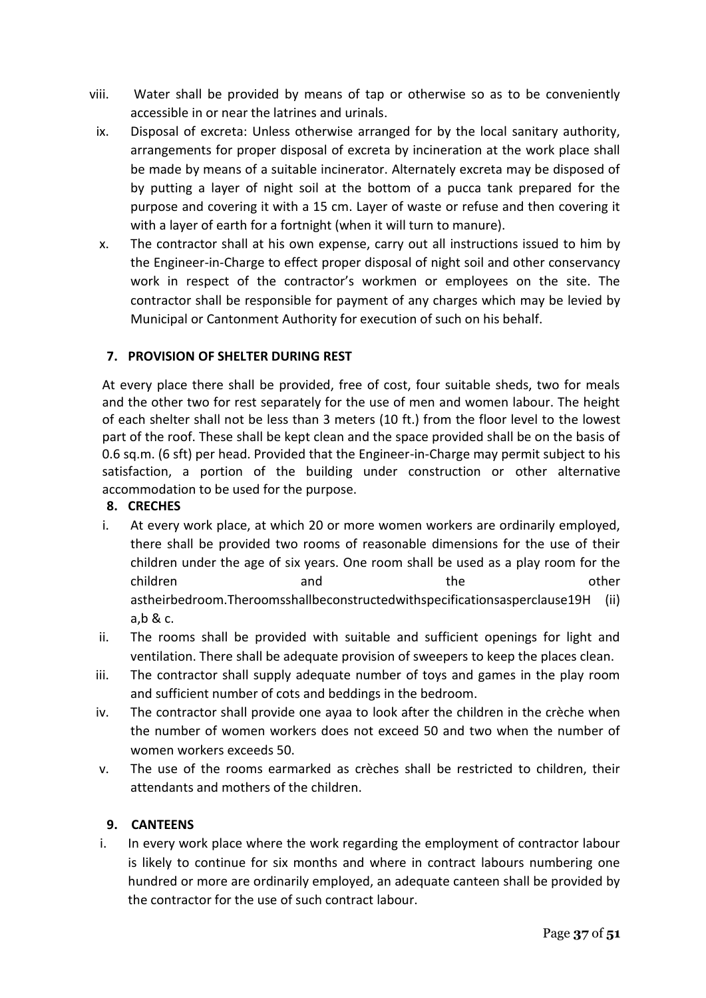- viii. Water shall be provided by means of tap or otherwise so as to be conveniently accessible in or near the latrines and urinals.
- ix. Disposal of excreta: Unless otherwise arranged for by the local sanitary authority, arrangements for proper disposal of excreta by incineration at the work place shall be made by means of a suitable incinerator. Alternately excreta may be disposed of by putting a layer of night soil at the bottom of a pucca tank prepared for the purpose and covering it with a 15 cm. Layer of waste or refuse and then covering it with a layer of earth for a fortnight (when it will turn to manure).
- x. The contractor shall at his own expense, carry out all instructions issued to him by the Engineer-in-Charge to effect proper disposal of night soil and other conservancy work in respect of the contractor's workmen or employees on the site. The contractor shall be responsible for payment of any charges which may be levied by Municipal or Cantonment Authority for execution of such on his behalf.

# **7. PROVISION OF SHELTER DURING REST**

At every place there shall be provided, free of cost, four suitable sheds, two for meals and the other two for rest separately for the use of men and women labour. The height of each shelter shall not be less than 3 meters (10 ft.) from the floor level to the lowest part of the roof. These shall be kept clean and the space provided shall be on the basis of 0.6 sq.m. (6 sft) per head. Provided that the Engineer-in-Charge may permit subject to his satisfaction, a portion of the building under construction or other alternative accommodation to be used for the purpose.

#### **8. CRECHES**

- i. At every work place, at which 20 or more women workers are ordinarily employed, there shall be provided two rooms of reasonable dimensions for the use of their children under the age of six years. One room shall be used as a play room for the children and and the other other astheirbedroom.Theroomsshallbeconstructedwithspecificationsasperclause19H (ii) a,b & c.
- ii. The rooms shall be provided with suitable and sufficient openings for light and ventilation. There shall be adequate provision of sweepers to keep the places clean.
- iii. The contractor shall supply adequate number of toys and games in the play room and sufficient number of cots and beddings in the bedroom.
- iv. The contractor shall provide one ayaa to look after the children in the crèche when the number of women workers does not exceed 50 and two when the number of women workers exceeds 50.
- v. The use of the rooms earmarked as crèches shall be restricted to children, their attendants and mothers of the children.

#### **9. CANTEENS**

i. In every work place where the work regarding the employment of contractor labour is likely to continue for six months and where in contract labours numbering one hundred or more are ordinarily employed, an adequate canteen shall be provided by the contractor for the use of such contract labour.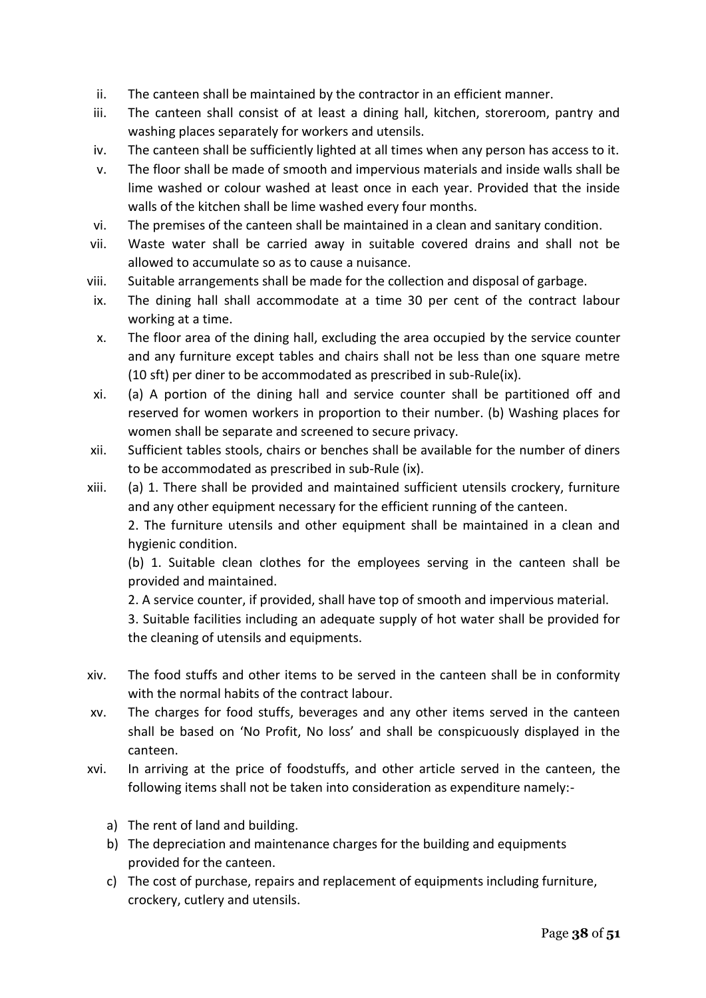- ii. The canteen shall be maintained by the contractor in an efficient manner.
- iii. The canteen shall consist of at least a dining hall, kitchen, storeroom, pantry and washing places separately for workers and utensils.
- iv. The canteen shall be sufficiently lighted at all times when any person has access to it.
- v. The floor shall be made of smooth and impervious materials and inside walls shall be lime washed or colour washed at least once in each year. Provided that the inside walls of the kitchen shall be lime washed every four months.
- vi. The premises of the canteen shall be maintained in a clean and sanitary condition.
- vii. Waste water shall be carried away in suitable covered drains and shall not be allowed to accumulate so as to cause a nuisance.
- viii. Suitable arrangements shall be made for the collection and disposal of garbage.
- ix. The dining hall shall accommodate at a time 30 per cent of the contract labour working at a time.
- x. The floor area of the dining hall, excluding the area occupied by the service counter and any furniture except tables and chairs shall not be less than one square metre (10 sft) per diner to be accommodated as prescribed in sub-Rule(ix).
- xi. (a) A portion of the dining hall and service counter shall be partitioned off and reserved for women workers in proportion to their number. (b) Washing places for women shall be separate and screened to secure privacy.
- xii. Sufficient tables stools, chairs or benches shall be available for the number of diners to be accommodated as prescribed in sub-Rule (ix).
- xiii. (a) 1. There shall be provided and maintained sufficient utensils crockery, furniture and any other equipment necessary for the efficient running of the canteen.

2. The furniture utensils and other equipment shall be maintained in a clean and hygienic condition.

(b) 1. Suitable clean clothes for the employees serving in the canteen shall be provided and maintained.

2. A service counter, if provided, shall have top of smooth and impervious material.

3. Suitable facilities including an adequate supply of hot water shall be provided for the cleaning of utensils and equipments.

- xiv. The food stuffs and other items to be served in the canteen shall be in conformity with the normal habits of the contract labour.
- xv. The charges for food stuffs, beverages and any other items served in the canteen shall be based on 'No Profit, No loss' and shall be conspicuously displayed in the canteen.
- xvi. In arriving at the price of foodstuffs, and other article served in the canteen, the following items shall not be taken into consideration as expenditure namely:
	- a) The rent of land and building.
	- b) The depreciation and maintenance charges for the building and equipments provided for the canteen.
	- c) The cost of purchase, repairs and replacement of equipments including furniture, crockery, cutlery and utensils.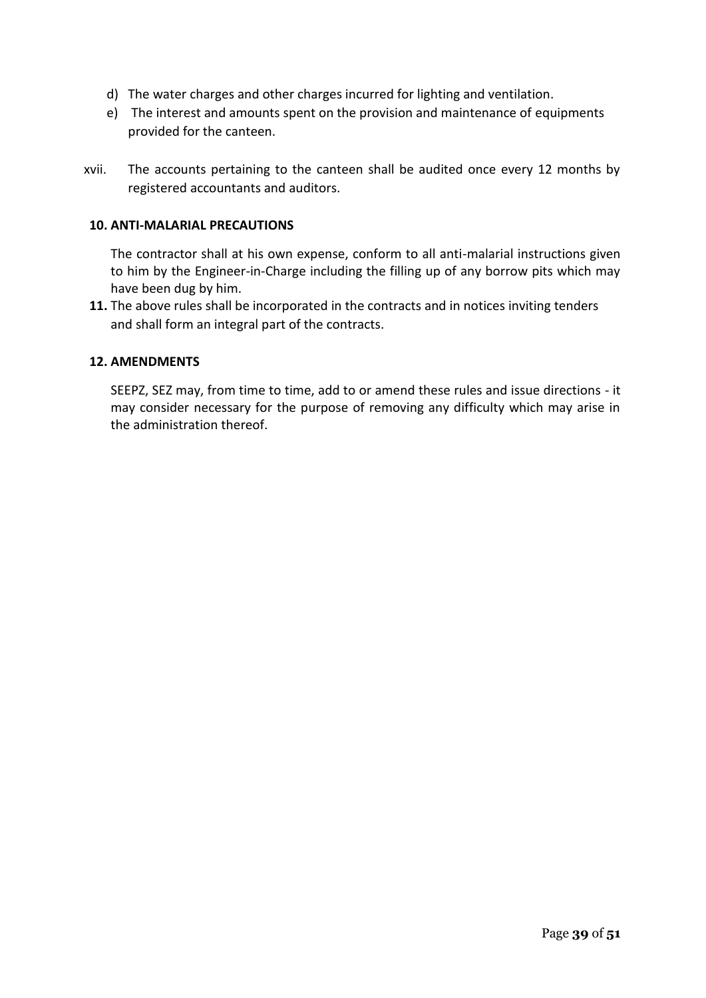- d) The water charges and other charges incurred for lighting and ventilation.
- e) The interest and amounts spent on the provision and maintenance of equipments provided for the canteen.
- xvii. The accounts pertaining to the canteen shall be audited once every 12 months by registered accountants and auditors.

#### **10. ANTI-MALARIAL PRECAUTIONS**

The contractor shall at his own expense, conform to all anti-malarial instructions given to him by the Engineer-in-Charge including the filling up of any borrow pits which may have been dug by him.

**11.** The above rules shall be incorporated in the contracts and in notices inviting tenders and shall form an integral part of the contracts.

#### **12. AMENDMENTS**

SEEPZ, SEZ may, from time to time, add to or amend these rules and issue directions - it may consider necessary for the purpose of removing any difficulty which may arise in the administration thereof.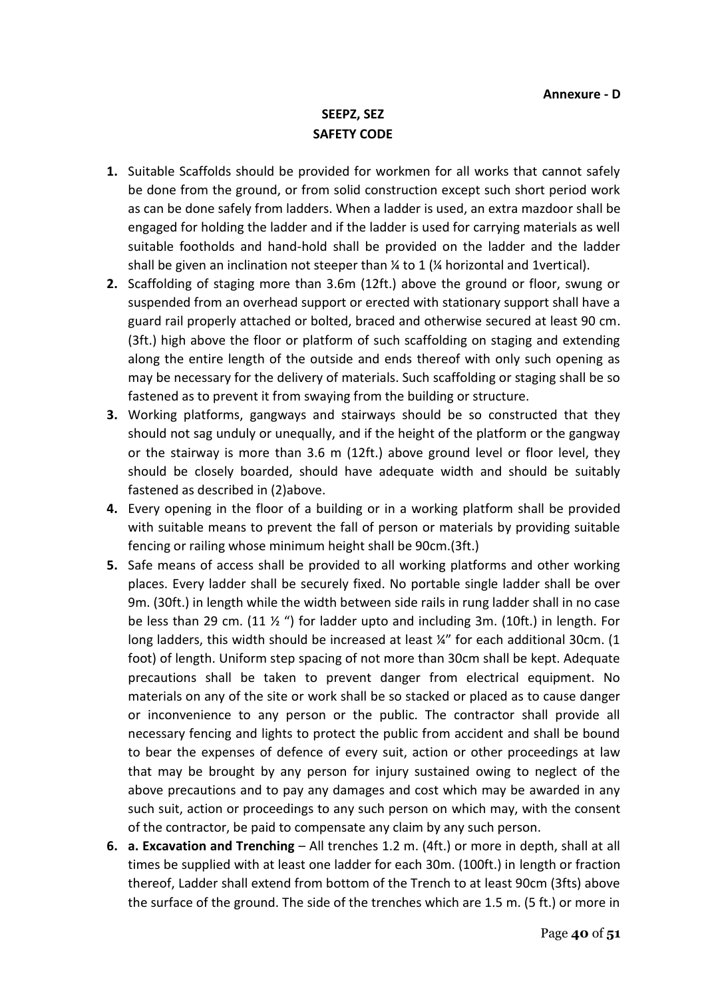# **SEEPZ, SEZ SAFETY CODE**

- **1.** Suitable Scaffolds should be provided for workmen for all works that cannot safely be done from the ground, or from solid construction except such short period work as can be done safely from ladders. When a ladder is used, an extra mazdoor shall be engaged for holding the ladder and if the ladder is used for carrying materials as well suitable footholds and hand-hold shall be provided on the ladder and the ladder shall be given an inclination not steeper than  $\frac{1}{4}$  to 1 ( $\frac{1}{4}$  horizontal and 1vertical).
- **2.** Scaffolding of staging more than 3.6m (12ft.) above the ground or floor, swung or suspended from an overhead support or erected with stationary support shall have a guard rail properly attached or bolted, braced and otherwise secured at least 90 cm. (3ft.) high above the floor or platform of such scaffolding on staging and extending along the entire length of the outside and ends thereof with only such opening as may be necessary for the delivery of materials. Such scaffolding or staging shall be so fastened as to prevent it from swaying from the building or structure.
- **3.** Working platforms, gangways and stairways should be so constructed that they should not sag unduly or unequally, and if the height of the platform or the gangway or the stairway is more than 3.6 m (12ft.) above ground level or floor level, they should be closely boarded, should have adequate width and should be suitably fastened as described in (2)above.
- **4.** Every opening in the floor of a building or in a working platform shall be provided with suitable means to prevent the fall of person or materials by providing suitable fencing or railing whose minimum height shall be 90cm.(3ft.)
- **5.** Safe means of access shall be provided to all working platforms and other working places. Every ladder shall be securely fixed. No portable single ladder shall be over 9m. (30ft.) in length while the width between side rails in rung ladder shall in no case be less than 29 cm.  $(11 \frac{1}{2})$  for ladder upto and including 3m.  $(10 ft.)$  in length. For long ladders, this width should be increased at least  $\frac{1}{4}$ " for each additional 30cm. (1 foot) of length. Uniform step spacing of not more than 30cm shall be kept. Adequate precautions shall be taken to prevent danger from electrical equipment. No materials on any of the site or work shall be so stacked or placed as to cause danger or inconvenience to any person or the public. The contractor shall provide all necessary fencing and lights to protect the public from accident and shall be bound to bear the expenses of defence of every suit, action or other proceedings at law that may be brought by any person for injury sustained owing to neglect of the above precautions and to pay any damages and cost which may be awarded in any such suit, action or proceedings to any such person on which may, with the consent of the contractor, be paid to compensate any claim by any such person.
- **6. a. Excavation and Trenching** All trenches 1.2 m. (4ft.) or more in depth, shall at all times be supplied with at least one ladder for each 30m. (100ft.) in length or fraction thereof, Ladder shall extend from bottom of the Trench to at least 90cm (3fts) above the surface of the ground. The side of the trenches which are 1.5 m. (5 ft.) or more in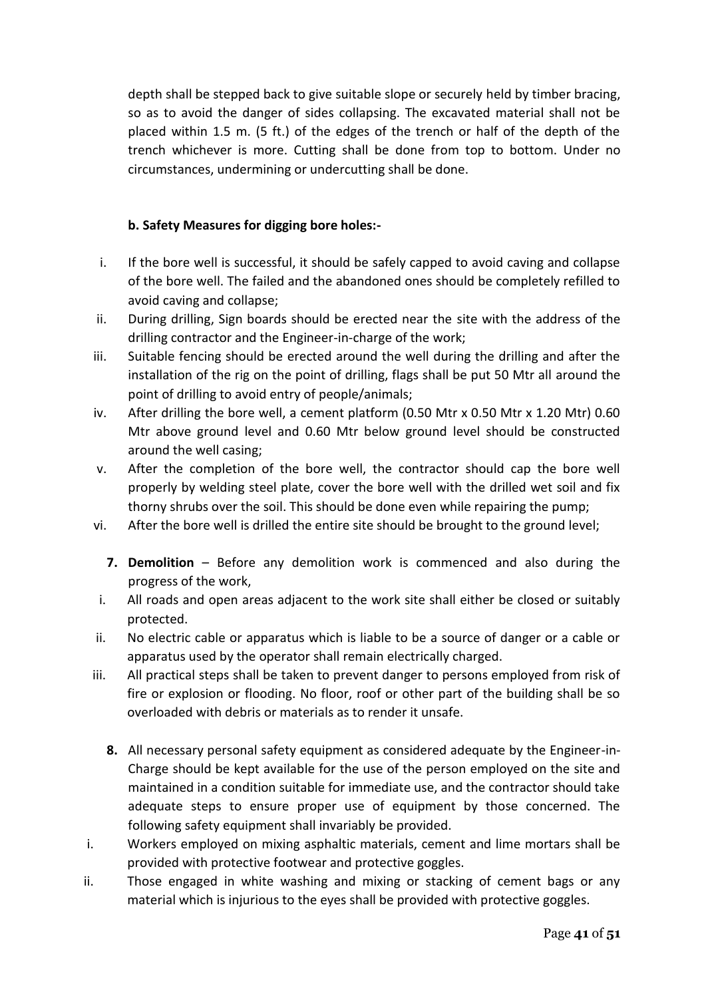depth shall be stepped back to give suitable slope or securely held by timber bracing, so as to avoid the danger of sides collapsing. The excavated material shall not be placed within 1.5 m. (5 ft.) of the edges of the trench or half of the depth of the trench whichever is more. Cutting shall be done from top to bottom. Under no circumstances, undermining or undercutting shall be done.

# **b. Safety Measures for digging bore holes:-**

- i. If the bore well is successful, it should be safely capped to avoid caving and collapse of the bore well. The failed and the abandoned ones should be completely refilled to avoid caving and collapse;
- ii. During drilling, Sign boards should be erected near the site with the address of the drilling contractor and the Engineer-in-charge of the work;
- iii. Suitable fencing should be erected around the well during the drilling and after the installation of the rig on the point of drilling, flags shall be put 50 Mtr all around the point of drilling to avoid entry of people/animals;
- iv. After drilling the bore well, a cement platform (0.50 Mtr x 0.50 Mtr x 1.20 Mtr) 0.60 Mtr above ground level and 0.60 Mtr below ground level should be constructed around the well casing;
- v. After the completion of the bore well, the contractor should cap the bore well properly by welding steel plate, cover the bore well with the drilled wet soil and fix thorny shrubs over the soil. This should be done even while repairing the pump;
- vi. After the bore well is drilled the entire site should be brought to the ground level;
	- **7. Demolition** Before any demolition work is commenced and also during the progress of the work,
- i. All roads and open areas adjacent to the work site shall either be closed or suitably protected.
- ii. No electric cable or apparatus which is liable to be a source of danger or a cable or apparatus used by the operator shall remain electrically charged.
- iii. All practical steps shall be taken to prevent danger to persons employed from risk of fire or explosion or flooding. No floor, roof or other part of the building shall be so overloaded with debris or materials as to render it unsafe.
	- **8.** All necessary personal safety equipment as considered adequate by the Engineer-in-Charge should be kept available for the use of the person employed on the site and maintained in a condition suitable for immediate use, and the contractor should take adequate steps to ensure proper use of equipment by those concerned. The following safety equipment shall invariably be provided.
- i. Workers employed on mixing asphaltic materials, cement and lime mortars shall be provided with protective footwear and protective goggles.
- ii. Those engaged in white washing and mixing or stacking of cement bags or any material which is injurious to the eyes shall be provided with protective goggles.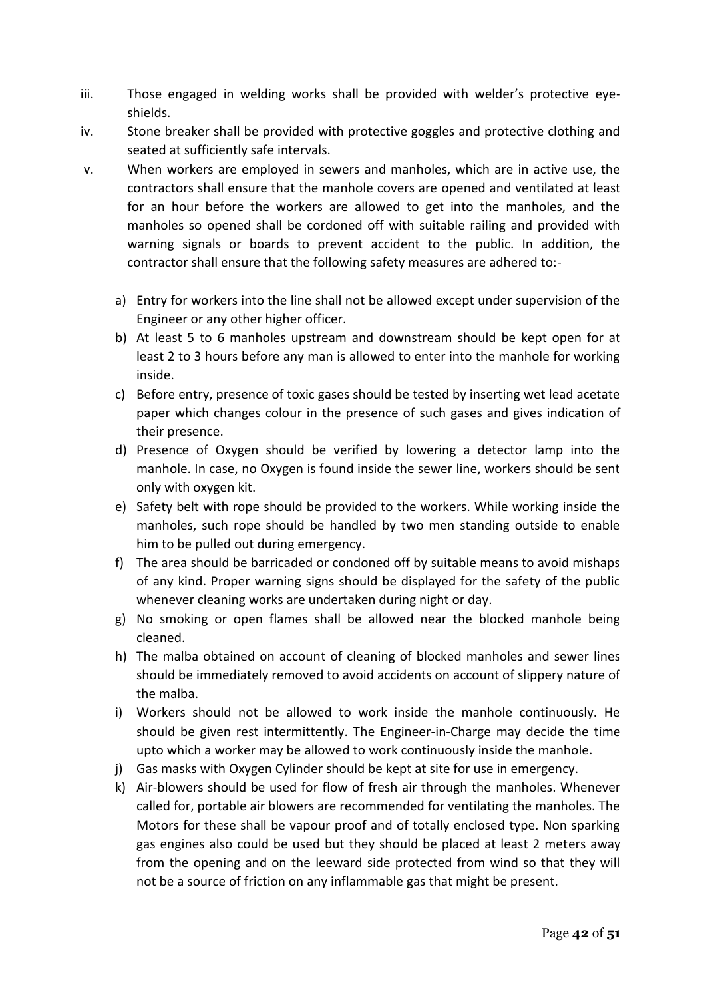- iii. Those engaged in welding works shall be provided with welder's protective eyeshields.
- iv. Stone breaker shall be provided with protective goggles and protective clothing and seated at sufficiently safe intervals.
- v. When workers are employed in sewers and manholes, which are in active use, the contractors shall ensure that the manhole covers are opened and ventilated at least for an hour before the workers are allowed to get into the manholes, and the manholes so opened shall be cordoned off with suitable railing and provided with warning signals or boards to prevent accident to the public. In addition, the contractor shall ensure that the following safety measures are adhered to:
	- a) Entry for workers into the line shall not be allowed except under supervision of the Engineer or any other higher officer.
	- b) At least 5 to 6 manholes upstream and downstream should be kept open for at least 2 to 3 hours before any man is allowed to enter into the manhole for working inside.
	- c) Before entry, presence of toxic gases should be tested by inserting wet lead acetate paper which changes colour in the presence of such gases and gives indication of their presence.
	- d) Presence of Oxygen should be verified by lowering a detector lamp into the manhole. In case, no Oxygen is found inside the sewer line, workers should be sent only with oxygen kit.
	- e) Safety belt with rope should be provided to the workers. While working inside the manholes, such rope should be handled by two men standing outside to enable him to be pulled out during emergency.
	- f) The area should be barricaded or condoned off by suitable means to avoid mishaps of any kind. Proper warning signs should be displayed for the safety of the public whenever cleaning works are undertaken during night or day.
	- g) No smoking or open flames shall be allowed near the blocked manhole being cleaned.
	- h) The malba obtained on account of cleaning of blocked manholes and sewer lines should be immediately removed to avoid accidents on account of slippery nature of the malba.
	- i) Workers should not be allowed to work inside the manhole continuously. He should be given rest intermittently. The Engineer-in-Charge may decide the time upto which a worker may be allowed to work continuously inside the manhole.
	- j) Gas masks with Oxygen Cylinder should be kept at site for use in emergency.
	- k) Air-blowers should be used for flow of fresh air through the manholes. Whenever called for, portable air blowers are recommended for ventilating the manholes. The Motors for these shall be vapour proof and of totally enclosed type. Non sparking gas engines also could be used but they should be placed at least 2 meters away from the opening and on the leeward side protected from wind so that they will not be a source of friction on any inflammable gas that might be present.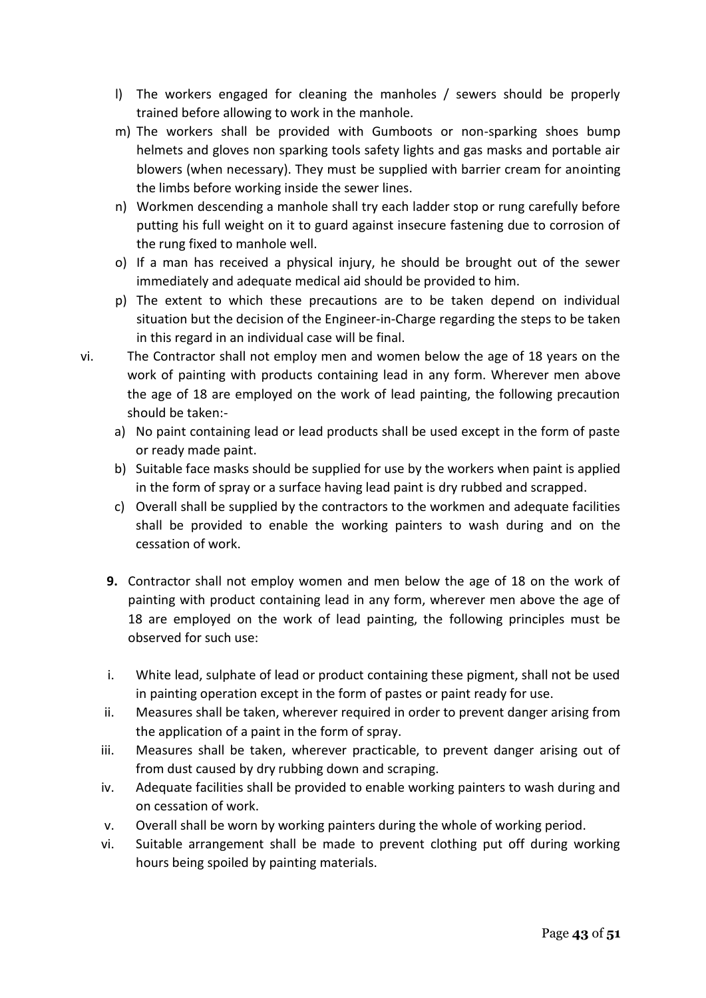- l) The workers engaged for cleaning the manholes / sewers should be properly trained before allowing to work in the manhole.
- m) The workers shall be provided with Gumboots or non-sparking shoes bump helmets and gloves non sparking tools safety lights and gas masks and portable air blowers (when necessary). They must be supplied with barrier cream for anointing the limbs before working inside the sewer lines.
- n) Workmen descending a manhole shall try each ladder stop or rung carefully before putting his full weight on it to guard against insecure fastening due to corrosion of the rung fixed to manhole well.
- o) If a man has received a physical injury, he should be brought out of the sewer immediately and adequate medical aid should be provided to him.
- p) The extent to which these precautions are to be taken depend on individual situation but the decision of the Engineer-in-Charge regarding the steps to be taken in this regard in an individual case will be final.
- vi. The Contractor shall not employ men and women below the age of 18 years on the work of painting with products containing lead in any form. Wherever men above the age of 18 are employed on the work of lead painting, the following precaution should be taken:
	- a) No paint containing lead or lead products shall be used except in the form of paste or ready made paint.
	- b) Suitable face masks should be supplied for use by the workers when paint is applied in the form of spray or a surface having lead paint is dry rubbed and scrapped.
	- c) Overall shall be supplied by the contractors to the workmen and adequate facilities shall be provided to enable the working painters to wash during and on the cessation of work.
	- **9.** Contractor shall not employ women and men below the age of 18 on the work of painting with product containing lead in any form, wherever men above the age of 18 are employed on the work of lead painting, the following principles must be observed for such use:
	- i. White lead, sulphate of lead or product containing these pigment, shall not be used in painting operation except in the form of pastes or paint ready for use.
	- ii. Measures shall be taken, wherever required in order to prevent danger arising from the application of a paint in the form of spray.
	- iii. Measures shall be taken, wherever practicable, to prevent danger arising out of from dust caused by dry rubbing down and scraping.
	- iv. Adequate facilities shall be provided to enable working painters to wash during and on cessation of work.
	- v. Overall shall be worn by working painters during the whole of working period.
	- vi. Suitable arrangement shall be made to prevent clothing put off during working hours being spoiled by painting materials.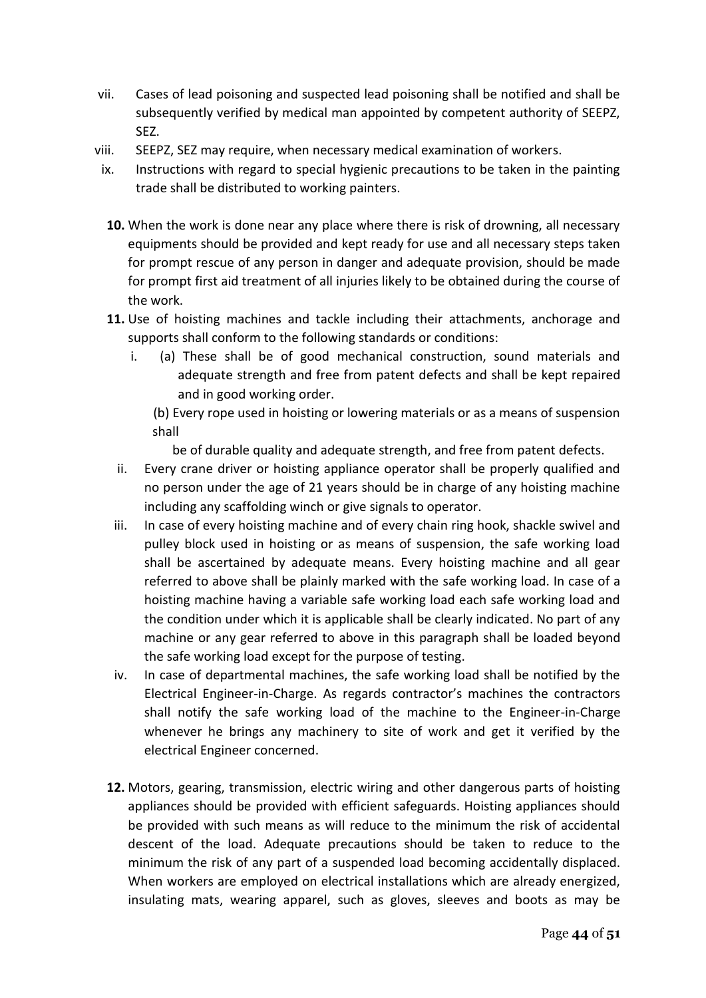- vii. Cases of lead poisoning and suspected lead poisoning shall be notified and shall be subsequently verified by medical man appointed by competent authority of SEEPZ, SEZ.
- viii. SEEPZ, SEZ may require, when necessary medical examination of workers.
- ix. Instructions with regard to special hygienic precautions to be taken in the painting trade shall be distributed to working painters.
- **10.** When the work is done near any place where there is risk of drowning, all necessary equipments should be provided and kept ready for use and all necessary steps taken for prompt rescue of any person in danger and adequate provision, should be made for prompt first aid treatment of all injuries likely to be obtained during the course of the work.
- **11.** Use of hoisting machines and tackle including their attachments, anchorage and supports shall conform to the following standards or conditions:
	- i. (a) These shall be of good mechanical construction, sound materials and adequate strength and free from patent defects and shall be kept repaired and in good working order.
		- (b) Every rope used in hoisting or lowering materials or as a means of suspension shall

be of durable quality and adequate strength, and free from patent defects.

- ii. Every crane driver or hoisting appliance operator shall be properly qualified and no person under the age of 21 years should be in charge of any hoisting machine including any scaffolding winch or give signals to operator.
- iii. In case of every hoisting machine and of every chain ring hook, shackle swivel and pulley block used in hoisting or as means of suspension, the safe working load shall be ascertained by adequate means. Every hoisting machine and all gear referred to above shall be plainly marked with the safe working load. In case of a hoisting machine having a variable safe working load each safe working load and the condition under which it is applicable shall be clearly indicated. No part of any machine or any gear referred to above in this paragraph shall be loaded beyond the safe working load except for the purpose of testing.
- iv. In case of departmental machines, the safe working load shall be notified by the Electrical Engineer-in-Charge. As regards contractor's machines the contractors shall notify the safe working load of the machine to the Engineer-in-Charge whenever he brings any machinery to site of work and get it verified by the electrical Engineer concerned.
- **12.** Motors, gearing, transmission, electric wiring and other dangerous parts of hoisting appliances should be provided with efficient safeguards. Hoisting appliances should be provided with such means as will reduce to the minimum the risk of accidental descent of the load. Adequate precautions should be taken to reduce to the minimum the risk of any part of a suspended load becoming accidentally displaced. When workers are employed on electrical installations which are already energized, insulating mats, wearing apparel, such as gloves, sleeves and boots as may be